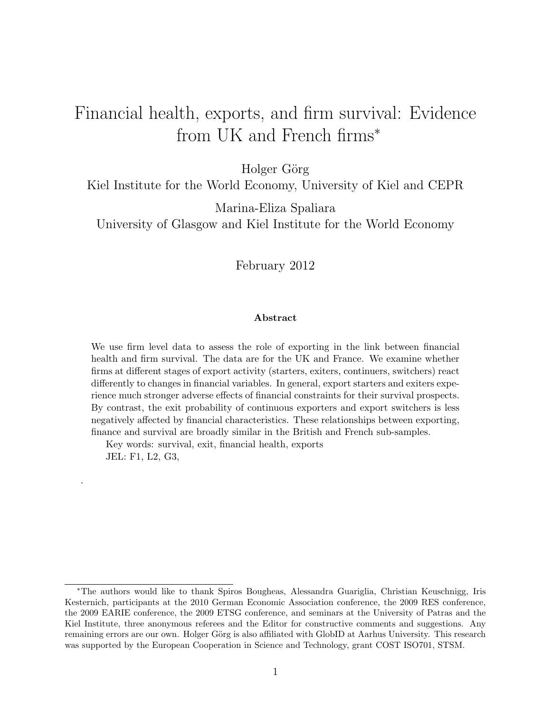# Financial health, exports, and firm survival: Evidence from UK and French firms<sup>∗</sup>

Holger Görg

Kiel Institute for the World Economy, University of Kiel and CEPR

Marina-Eliza Spaliara

University of Glasgow and Kiel Institute for the World Economy

February 2012

#### Abstract

We use firm level data to assess the role of exporting in the link between financial health and firm survival. The data are for the UK and France. We examine whether firms at different stages of export activity (starters, exiters, continuers, switchers) react differently to changes in financial variables. In general, export starters and exiters experience much stronger adverse effects of financial constraints for their survival prospects. By contrast, the exit probability of continuous exporters and export switchers is less negatively affected by financial characteristics. These relationships between exporting, finance and survival are broadly similar in the British and French sub-samples.

Key words: survival, exit, financial health, exports JEL: F1, L2, G3,

.

<sup>∗</sup>The authors would like to thank Spiros Bougheas, Alessandra Guariglia, Christian Keuschnigg, Iris Kesternich, participants at the 2010 German Economic Association conference, the 2009 RES conference, the 2009 EARIE conference, the 2009 ETSG conference, and seminars at the University of Patras and the Kiel Institute, three anonymous referees and the Editor for constructive comments and suggestions. Any remaining errors are our own. Holger Görg is also affiliated with GlobID at Aarhus University. This research was supported by the European Cooperation in Science and Technology, grant COST ISO701, STSM.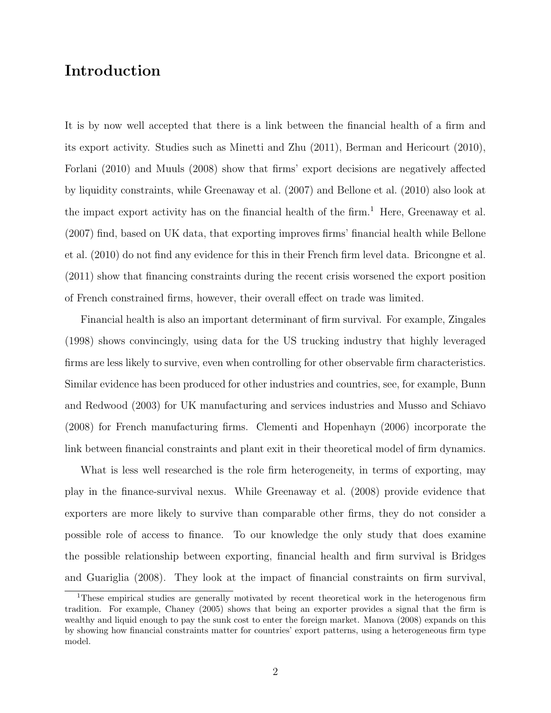# Introduction

It is by now well accepted that there is a link between the financial health of a firm and its export activity. Studies such as Minetti and Zhu (2011), Berman and Hericourt (2010), Forlani (2010) and Muuls (2008) show that firms' export decisions are negatively affected by liquidity constraints, while Greenaway et al. (2007) and Bellone et al. (2010) also look at the impact export activity has on the financial health of the firm.<sup>1</sup> Here, Greenaway et al. (2007) find, based on UK data, that exporting improves firms' financial health while Bellone et al. (2010) do not find any evidence for this in their French firm level data. Bricongne et al. (2011) show that financing constraints during the recent crisis worsened the export position of French constrained firms, however, their overall effect on trade was limited.

Financial health is also an important determinant of firm survival. For example, Zingales (1998) shows convincingly, using data for the US trucking industry that highly leveraged firms are less likely to survive, even when controlling for other observable firm characteristics. Similar evidence has been produced for other industries and countries, see, for example, Bunn and Redwood (2003) for UK manufacturing and services industries and Musso and Schiavo (2008) for French manufacturing firms. Clementi and Hopenhayn (2006) incorporate the link between financial constraints and plant exit in their theoretical model of firm dynamics.

What is less well researched is the role firm heterogeneity, in terms of exporting, may play in the finance-survival nexus. While Greenaway et al. (2008) provide evidence that exporters are more likely to survive than comparable other firms, they do not consider a possible role of access to finance. To our knowledge the only study that does examine the possible relationship between exporting, financial health and firm survival is Bridges and Guariglia (2008). They look at the impact of financial constraints on firm survival,

<sup>&</sup>lt;sup>1</sup>These empirical studies are generally motivated by recent theoretical work in the heterogenous firm tradition. For example, Chaney (2005) shows that being an exporter provides a signal that the firm is wealthy and liquid enough to pay the sunk cost to enter the foreign market. Manova (2008) expands on this by showing how financial constraints matter for countries' export patterns, using a heterogeneous firm type model.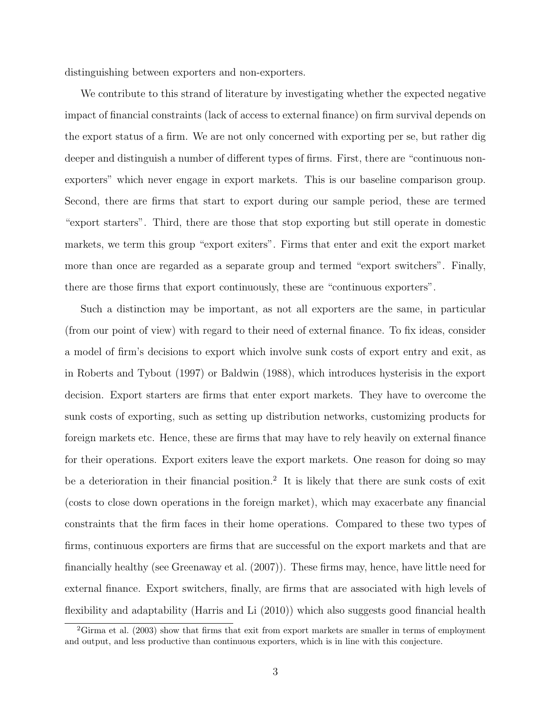distinguishing between exporters and non-exporters.

We contribute to this strand of literature by investigating whether the expected negative impact of financial constraints (lack of access to external finance) on firm survival depends on the export status of a firm. We are not only concerned with exporting per se, but rather dig deeper and distinguish a number of different types of firms. First, there are "continuous nonexporters" which never engage in export markets. This is our baseline comparison group. Second, there are firms that start to export during our sample period, these are termed "export starters". Third, there are those that stop exporting but still operate in domestic markets, we term this group "export exiters". Firms that enter and exit the export market more than once are regarded as a separate group and termed "export switchers". Finally, there are those firms that export continuously, these are "continuous exporters".

Such a distinction may be important, as not all exporters are the same, in particular (from our point of view) with regard to their need of external finance. To fix ideas, consider a model of firm's decisions to export which involve sunk costs of export entry and exit, as in Roberts and Tybout (1997) or Baldwin (1988), which introduces hysterisis in the export decision. Export starters are firms that enter export markets. They have to overcome the sunk costs of exporting, such as setting up distribution networks, customizing products for foreign markets etc. Hence, these are firms that may have to rely heavily on external finance for their operations. Export exiters leave the export markets. One reason for doing so may be a deterioration in their financial position.<sup>2</sup> It is likely that there are sunk costs of exit (costs to close down operations in the foreign market), which may exacerbate any financial constraints that the firm faces in their home operations. Compared to these two types of firms, continuous exporters are firms that are successful on the export markets and that are financially healthy (see Greenaway et al. (2007)). These firms may, hence, have little need for external finance. Export switchers, finally, are firms that are associated with high levels of flexibility and adaptability (Harris and Li (2010)) which also suggests good financial health

 ${}^{2}$ Girma et al. (2003) show that firms that exit from export markets are smaller in terms of employment and output, and less productive than continuous exporters, which is in line with this conjecture.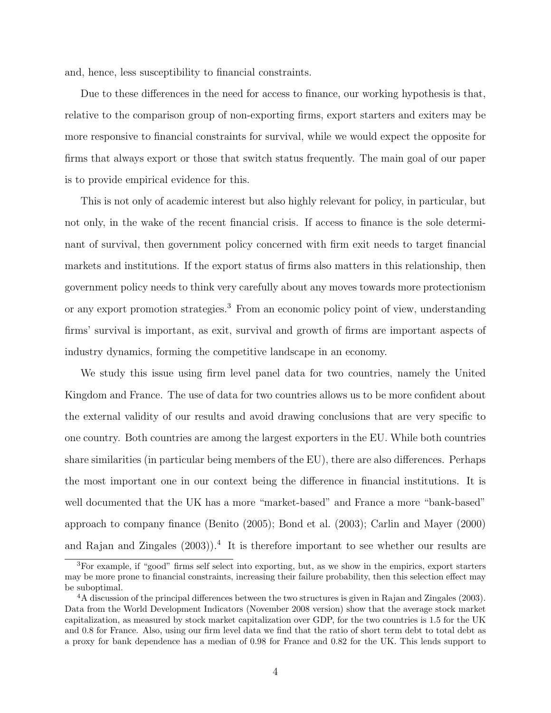and, hence, less susceptibility to financial constraints.

Due to these differences in the need for access to finance, our working hypothesis is that, relative to the comparison group of non-exporting firms, export starters and exiters may be more responsive to financial constraints for survival, while we would expect the opposite for firms that always export or those that switch status frequently. The main goal of our paper is to provide empirical evidence for this.

This is not only of academic interest but also highly relevant for policy, in particular, but not only, in the wake of the recent financial crisis. If access to finance is the sole determinant of survival, then government policy concerned with firm exit needs to target financial markets and institutions. If the export status of firms also matters in this relationship, then government policy needs to think very carefully about any moves towards more protectionism or any export promotion strategies.<sup>3</sup> From an economic policy point of view, understanding firms' survival is important, as exit, survival and growth of firms are important aspects of industry dynamics, forming the competitive landscape in an economy.

We study this issue using firm level panel data for two countries, namely the United Kingdom and France. The use of data for two countries allows us to be more confident about the external validity of our results and avoid drawing conclusions that are very specific to one country. Both countries are among the largest exporters in the EU. While both countries share similarities (in particular being members of the EU), there are also differences. Perhaps the most important one in our context being the difference in financial institutions. It is well documented that the UK has a more "market-based" and France a more "bank-based" approach to company finance (Benito (2005); Bond et al. (2003); Carlin and Mayer (2000) and Rajan and Zingales (2003)).<sup>4</sup> It is therefore important to see whether our results are

<sup>3</sup>For example, if "good" firms self select into exporting, but, as we show in the empirics, export starters may be more prone to financial constraints, increasing their failure probability, then this selection effect may be suboptimal.

<sup>&</sup>lt;sup>4</sup>A discussion of the principal differences between the two structures is given in Rajan and Zingales (2003). Data from the World Development Indicators (November 2008 version) show that the average stock market capitalization, as measured by stock market capitalization over GDP, for the two countries is 1.5 for the UK and 0.8 for France. Also, using our firm level data we find that the ratio of short term debt to total debt as a proxy for bank dependence has a median of 0.98 for France and 0.82 for the UK. This lends support to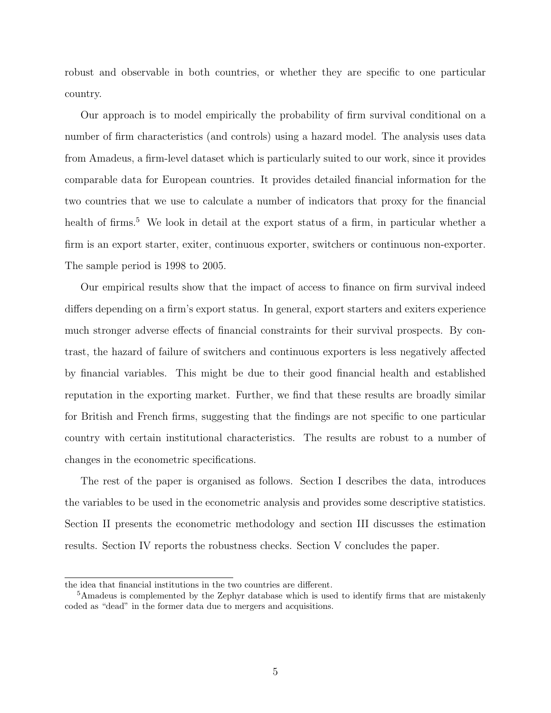robust and observable in both countries, or whether they are specific to one particular country.

Our approach is to model empirically the probability of firm survival conditional on a number of firm characteristics (and controls) using a hazard model. The analysis uses data from Amadeus, a firm-level dataset which is particularly suited to our work, since it provides comparable data for European countries. It provides detailed financial information for the two countries that we use to calculate a number of indicators that proxy for the financial health of firms.<sup>5</sup> We look in detail at the export status of a firm, in particular whether a firm is an export starter, exiter, continuous exporter, switchers or continuous non-exporter. The sample period is 1998 to 2005.

Our empirical results show that the impact of access to finance on firm survival indeed differs depending on a firm's export status. In general, export starters and exiters experience much stronger adverse effects of financial constraints for their survival prospects. By contrast, the hazard of failure of switchers and continuous exporters is less negatively affected by financial variables. This might be due to their good financial health and established reputation in the exporting market. Further, we find that these results are broadly similar for British and French firms, suggesting that the findings are not specific to one particular country with certain institutional characteristics. The results are robust to a number of changes in the econometric specifications.

The rest of the paper is organised as follows. Section I describes the data, introduces the variables to be used in the econometric analysis and provides some descriptive statistics. Section II presents the econometric methodology and section III discusses the estimation results. Section IV reports the robustness checks. Section V concludes the paper.

the idea that financial institutions in the two countries are different.

<sup>&</sup>lt;sup>5</sup>Amadeus is complemented by the Zephyr database which is used to identify firms that are mistakenly coded as "dead" in the former data due to mergers and acquisitions.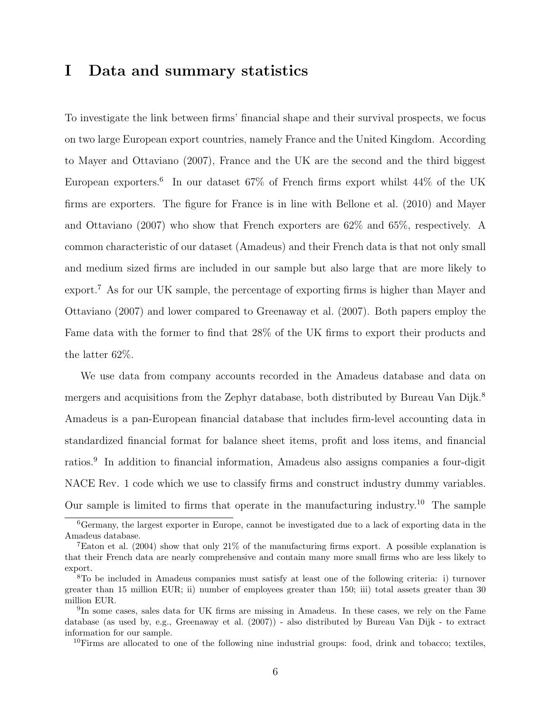# I Data and summary statistics

To investigate the link between firms' financial shape and their survival prospects, we focus on two large European export countries, namely France and the United Kingdom. According to Mayer and Ottaviano (2007), France and the UK are the second and the third biggest European exporters.<sup>6</sup> In our dataset 67% of French firms export whilst 44% of the UK firms are exporters. The figure for France is in line with Bellone et al. (2010) and Mayer and Ottaviano (2007) who show that French exporters are 62% and 65%, respectively. A common characteristic of our dataset (Amadeus) and their French data is that not only small and medium sized firms are included in our sample but also large that are more likely to export.<sup>7</sup> As for our UK sample, the percentage of exporting firms is higher than Mayer and Ottaviano (2007) and lower compared to Greenaway et al. (2007). Both papers employ the Fame data with the former to find that 28% of the UK firms to export their products and the latter 62%.

We use data from company accounts recorded in the Amadeus database and data on mergers and acquisitions from the Zephyr database, both distributed by Bureau Van Dijk.<sup>8</sup> Amadeus is a pan-European financial database that includes firm-level accounting data in standardized financial format for balance sheet items, profit and loss items, and financial ratios.<sup>9</sup> In addition to financial information, Amadeus also assigns companies a four-digit NACE Rev. 1 code which we use to classify firms and construct industry dummy variables. Our sample is limited to firms that operate in the manufacturing industry.<sup>10</sup> The sample

 $10$ Firms are allocated to one of the following nine industrial groups: food, drink and tobacco; textiles,

<sup>6</sup>Germany, the largest exporter in Europe, cannot be investigated due to a lack of exporting data in the Amadeus database.

<sup>&</sup>lt;sup>7</sup>Eaton et al. (2004) show that only 21% of the manufacturing firms export. A possible explanation is that their French data are nearly comprehensive and contain many more small firms who are less likely to export.

<sup>8</sup>To be included in Amadeus companies must satisfy at least one of the following criteria: i) turnover greater than 15 million EUR; ii) number of employees greater than 150; iii) total assets greater than 30 million EUR.

<sup>&</sup>lt;sup>9</sup>In some cases, sales data for UK firms are missing in Amadeus. In these cases, we rely on the Fame database (as used by, e.g., Greenaway et al. (2007)) - also distributed by Bureau Van Dijk - to extract information for our sample.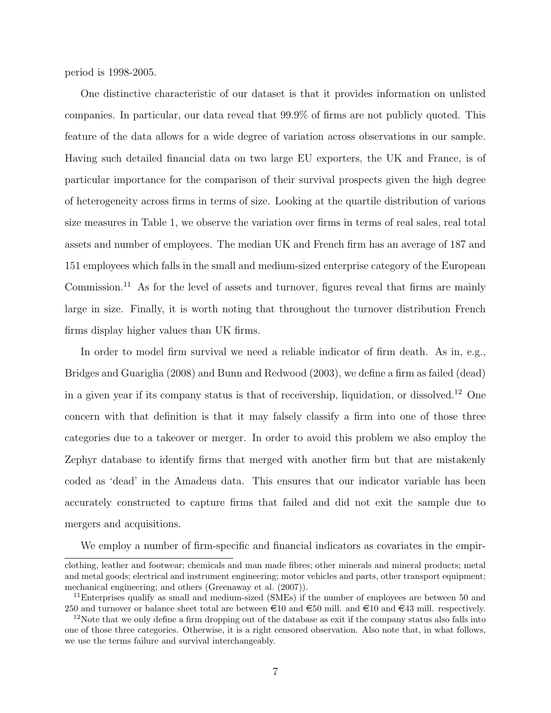period is 1998-2005.

One distinctive characteristic of our dataset is that it provides information on unlisted companies. In particular, our data reveal that 99.9% of firms are not publicly quoted. This feature of the data allows for a wide degree of variation across observations in our sample. Having such detailed financial data on two large EU exporters, the UK and France, is of particular importance for the comparison of their survival prospects given the high degree of heterogeneity across firms in terms of size. Looking at the quartile distribution of various size measures in Table 1, we observe the variation over firms in terms of real sales, real total assets and number of employees. The median UK and French firm has an average of 187 and 151 employees which falls in the small and medium-sized enterprise category of the European Commission.<sup>11</sup> As for the level of assets and turnover, figures reveal that firms are mainly large in size. Finally, it is worth noting that throughout the turnover distribution French firms display higher values than UK firms.

In order to model firm survival we need a reliable indicator of firm death. As in, e.g., Bridges and Guariglia (2008) and Bunn and Redwood (2003), we define a firm as failed (dead) in a given year if its company status is that of receivership, liquidation, or dissolved.<sup>12</sup> One concern with that definition is that it may falsely classify a firm into one of those three categories due to a takeover or merger. In order to avoid this problem we also employ the Zephyr database to identify firms that merged with another firm but that are mistakenly coded as 'dead' in the Amadeus data. This ensures that our indicator variable has been accurately constructed to capture firms that failed and did not exit the sample due to mergers and acquisitions.

We employ a number of firm-specific and financial indicators as covariates in the empir-

clothing, leather and footwear; chemicals and man made fibres; other minerals and mineral products; metal and metal goods; electrical and instrument engineering; motor vehicles and parts, other transport equipment; mechanical engineering; and others (Greenaway et al. (2007)).

<sup>&</sup>lt;sup>11</sup>Enterprises qualify as small and medium-sized (SMEs) if the number of employees are between 50 and 250 and turnover or balance sheet total are between  $\epsilon = 10$  and  $\epsilon = 50$  mill. and  $\epsilon = 43$  mill. respectively.

 $12$ Note that we only define a firm dropping out of the database as exit if the company status also falls into one of those three categories. Otherwise, it is a right censored observation. Also note that, in what follows, we use the terms failure and survival interchangeably.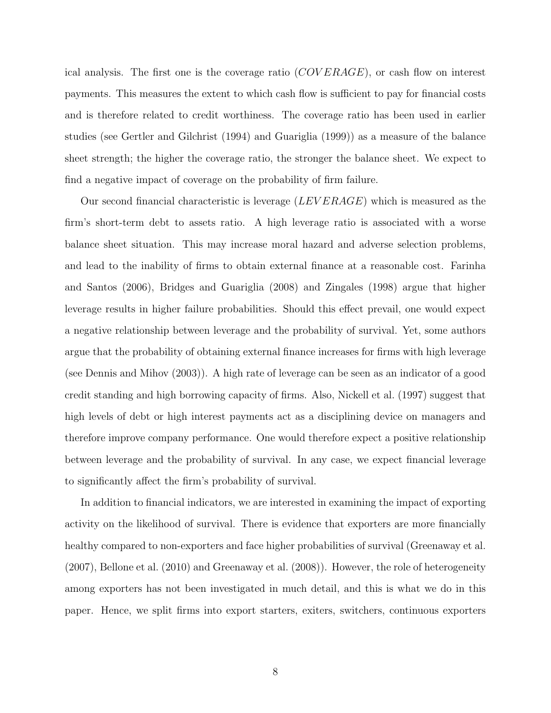ical analysis. The first one is the coverage ratio  $(COVERAGE)$ , or cash flow on interest payments. This measures the extent to which cash flow is sufficient to pay for financial costs and is therefore related to credit worthiness. The coverage ratio has been used in earlier studies (see Gertler and Gilchrist (1994) and Guariglia (1999)) as a measure of the balance sheet strength; the higher the coverage ratio, the stronger the balance sheet. We expect to find a negative impact of coverage on the probability of firm failure.

Our second financial characteristic is leverage  $(LEVERAGE)$  which is measured as the firm's short-term debt to assets ratio. A high leverage ratio is associated with a worse balance sheet situation. This may increase moral hazard and adverse selection problems, and lead to the inability of firms to obtain external finance at a reasonable cost. Farinha and Santos (2006), Bridges and Guariglia (2008) and Zingales (1998) argue that higher leverage results in higher failure probabilities. Should this effect prevail, one would expect a negative relationship between leverage and the probability of survival. Yet, some authors argue that the probability of obtaining external finance increases for firms with high leverage (see Dennis and Mihov (2003)). A high rate of leverage can be seen as an indicator of a good credit standing and high borrowing capacity of firms. Also, Nickell et al. (1997) suggest that high levels of debt or high interest payments act as a disciplining device on managers and therefore improve company performance. One would therefore expect a positive relationship between leverage and the probability of survival. In any case, we expect financial leverage to significantly affect the firm's probability of survival.

In addition to financial indicators, we are interested in examining the impact of exporting activity on the likelihood of survival. There is evidence that exporters are more financially healthy compared to non-exporters and face higher probabilities of survival (Greenaway et al. (2007), Bellone et al. (2010) and Greenaway et al. (2008)). However, the role of heterogeneity among exporters has not been investigated in much detail, and this is what we do in this paper. Hence, we split firms into export starters, exiters, switchers, continuous exporters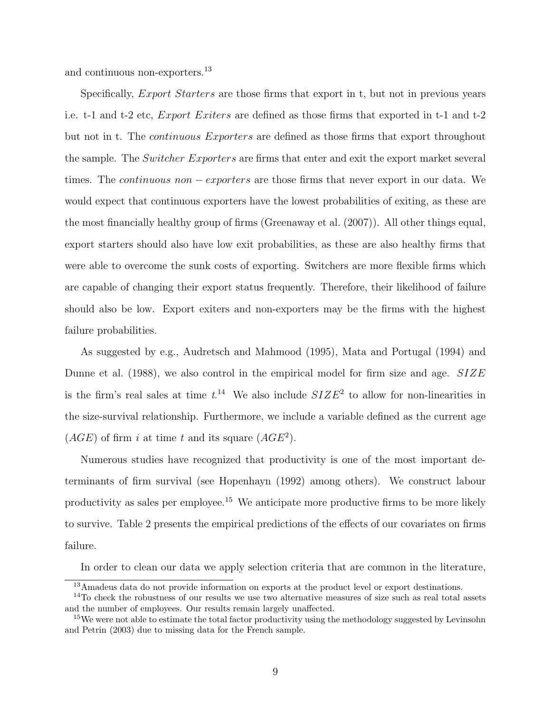and continuous non-exporters.<sup>13</sup>

Specifically, *Export Starters* are those firms that export in t, but not in previous years i.e. t-1 and t-2 etc, Export Exiters are defined as those firms that exported in t-1 and t-2 but not in t. The *continuous Exporters* are defined as those firms that export throughout the sample. The Switcher Exporters are firms that enter and exit the export market several times. The continuous non − exporters are those firms that never export in our data. We would expect that continuous exporters have the lowest probabilities of exiting, as these are the most financially healthy group of firms (Greenaway et al. (2007)). All other things equal, export starters should also have low exit probabilities, as these are also healthy firms that were able to overcome the sunk costs of exporting. Switchers are more flexible firms which are capable of changing their export status frequently. Therefore, their likelihood of failure should also be low. Export exiters and non-exporters may be the firms with the highest failure probabilities.

As suggested by e.g., Audretsch and Mahmood (1995), Mata and Portugal (1994) and Dunne et al.  $(1988)$ , we also control in the empirical model for firm size and age.  $SIZE$ is the firm's real sales at time  $t^{14}$ . We also include  $SIZE^2$  to allow for non-linearities in the size-survival relationship. Furthermore, we include a variable defined as the current age  $(AGE)$  of firm i at time t and its square  $(AGE^2)$ .

Numerous studies have recognized that productivity is one of the most important determinants of firm survival (see Hopenhayn (1992) among others). We construct labour productivity as sales per employee.<sup>15</sup> We anticipate more productive firms to be more likely to survive. Table 2 presents the empirical predictions of the effects of our covariates on firms failure.

In order to clean our data we apply selection criteria that are common in the literature,

<sup>13</sup>Amadeus data do not provide information on exports at the product level or export destinations.

<sup>&</sup>lt;sup>14</sup>To check the robustness of our results we use two alternative measures of size such as real total assets and the number of employees. Our results remain largely unaffected.

<sup>&</sup>lt;sup>15</sup>We were not able to estimate the total factor productivity using the methodology suggested by Levinsohn and Petrin (2003) due to missing data for the French sample.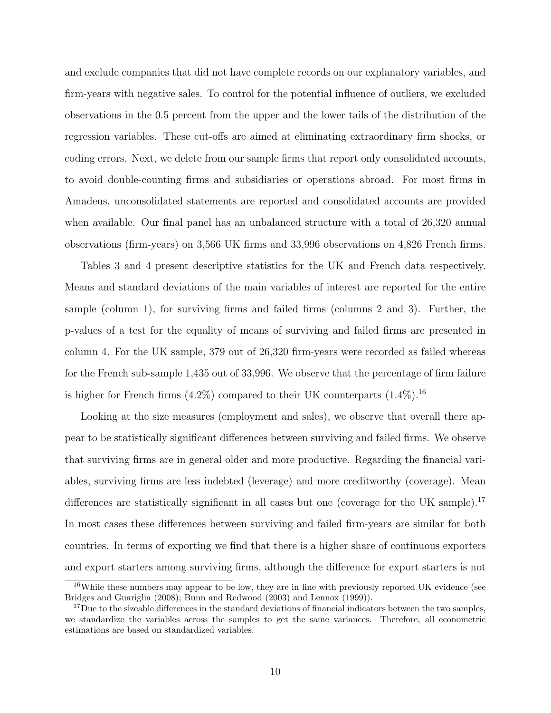and exclude companies that did not have complete records on our explanatory variables, and firm-years with negative sales. To control for the potential influence of outliers, we excluded observations in the 0.5 percent from the upper and the lower tails of the distribution of the regression variables. These cut-offs are aimed at eliminating extraordinary firm shocks, or coding errors. Next, we delete from our sample firms that report only consolidated accounts, to avoid double-counting firms and subsidiaries or operations abroad. For most firms in Amadeus, unconsolidated statements are reported and consolidated accounts are provided when available. Our final panel has an unbalanced structure with a total of 26,320 annual observations (firm-years) on 3,566 UK firms and 33,996 observations on 4,826 French firms.

Tables 3 and 4 present descriptive statistics for the UK and French data respectively. Means and standard deviations of the main variables of interest are reported for the entire sample (column 1), for surviving firms and failed firms (columns 2 and 3). Further, the p-values of a test for the equality of means of surviving and failed firms are presented in column 4. For the UK sample, 379 out of 26,320 firm-years were recorded as failed whereas for the French sub-sample 1,435 out of 33,996. We observe that the percentage of firm failure is higher for French firms  $(4.2\%)$  compared to their UK counterparts  $(1.4\%)$ .<sup>16</sup>

Looking at the size measures (employment and sales), we observe that overall there appear to be statistically significant differences between surviving and failed firms. We observe that surviving firms are in general older and more productive. Regarding the financial variables, surviving firms are less indebted (leverage) and more creditworthy (coverage). Mean differences are statistically significant in all cases but one (coverage for the UK sample).<sup>17</sup> In most cases these differences between surviving and failed firm-years are similar for both countries. In terms of exporting we find that there is a higher share of continuous exporters and export starters among surviving firms, although the difference for export starters is not

<sup>&</sup>lt;sup>16</sup>While these numbers may appear to be low, they are in line with previously reported UK evidence (see Bridges and Guariglia (2008); Bunn and Redwood (2003) and Lennox (1999)).

<sup>&</sup>lt;sup>17</sup>Due to the sizeable differences in the standard deviations of financial indicators between the two samples, we standardize the variables across the samples to get the same variances. Therefore, all econometric estimations are based on standardized variables.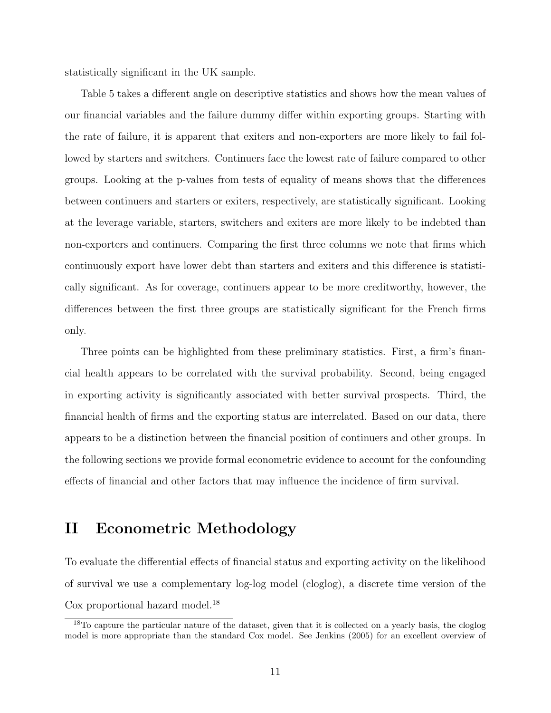statistically significant in the UK sample.

Table 5 takes a different angle on descriptive statistics and shows how the mean values of our financial variables and the failure dummy differ within exporting groups. Starting with the rate of failure, it is apparent that exiters and non-exporters are more likely to fail followed by starters and switchers. Continuers face the lowest rate of failure compared to other groups. Looking at the p-values from tests of equality of means shows that the differences between continuers and starters or exiters, respectively, are statistically significant. Looking at the leverage variable, starters, switchers and exiters are more likely to be indebted than non-exporters and continuers. Comparing the first three columns we note that firms which continuously export have lower debt than starters and exiters and this difference is statistically significant. As for coverage, continuers appear to be more creditworthy, however, the differences between the first three groups are statistically significant for the French firms only.

Three points can be highlighted from these preliminary statistics. First, a firm's financial health appears to be correlated with the survival probability. Second, being engaged in exporting activity is significantly associated with better survival prospects. Third, the financial health of firms and the exporting status are interrelated. Based on our data, there appears to be a distinction between the financial position of continuers and other groups. In the following sections we provide formal econometric evidence to account for the confounding effects of financial and other factors that may influence the incidence of firm survival.

# II Econometric Methodology

To evaluate the differential effects of financial status and exporting activity on the likelihood of survival we use a complementary log-log model (cloglog), a discrete time version of the Cox proportional hazard model.<sup>18</sup>

<sup>&</sup>lt;sup>18</sup>To capture the particular nature of the dataset, given that it is collected on a yearly basis, the cloglog model is more appropriate than the standard Cox model. See Jenkins (2005) for an excellent overview of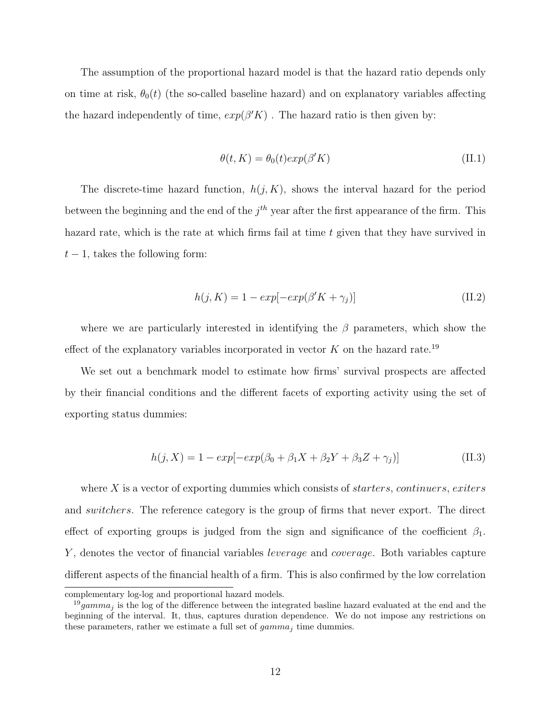The assumption of the proportional hazard model is that the hazard ratio depends only on time at risk,  $\theta_0(t)$  (the so-called baseline hazard) and on explanatory variables affecting the hazard independently of time,  $exp(\beta' K)$ . The hazard ratio is then given by:

$$
\theta(t, K) = \theta_0(t) exp(\beta' K)
$$
\n(II.1)

The discrete-time hazard function,  $h(j, K)$ , shows the interval hazard for the period between the beginning and the end of the  $j^{th}$  year after the first appearance of the firm. This hazard rate, which is the rate at which firms fail at time t given that they have survived in  $t-1$ , takes the following form:

$$
h(j, K) = 1 - exp[-exp(\beta' K + \gamma_j)]
$$
\n(II.2)

where we are particularly interested in identifying the  $\beta$  parameters, which show the effect of the explanatory variables incorporated in vector  $K$  on the hazard rate.<sup>19</sup>

We set out a benchmark model to estimate how firms' survival prospects are affected by their financial conditions and the different facets of exporting activity using the set of exporting status dummies:

$$
h(j, X) = 1 - exp[-exp(\beta_0 + \beta_1 X + \beta_2 Y + \beta_3 Z + \gamma_j)]
$$
 (II.3)

where X is a vector of exporting dummies which consists of *starters, continuers, exiters* and switchers. The reference category is the group of firms that never export. The direct effect of exporting groups is judged from the sign and significance of the coefficient  $\beta_1$ . Y, denotes the vector of financial variables *leverage* and *coverage*. Both variables capture different aspects of the financial health of a firm. This is also confirmed by the low correlation

complementary log-log and proportional hazard models.

<sup>&</sup>lt;sup>19</sup>gamma<sub>j</sub> is the log of the difference between the integrated basline hazard evaluated at the end and the beginning of the interval. It, thus, captures duration dependence. We do not impose any restrictions on these parameters, rather we estimate a full set of  $gamma_i$  time dummies.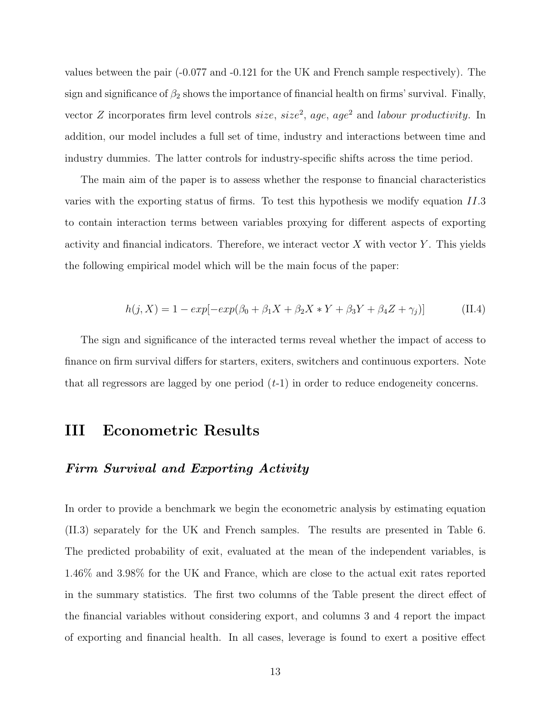values between the pair (-0.077 and -0.121 for the UK and French sample respectively). The sign and significance of  $\beta_2$  shows the importance of financial health on firms' survival. Finally, vector Z incorporates firm level controls  $size$ ,  $size^2$ , age, age<sup>2</sup> and *labour productivity*. In addition, our model includes a full set of time, industry and interactions between time and industry dummies. The latter controls for industry-specific shifts across the time period.

The main aim of the paper is to assess whether the response to financial characteristics varies with the exporting status of firms. To test this hypothesis we modify equation II.3 to contain interaction terms between variables proxying for different aspects of exporting activity and financial indicators. Therefore, we interact vector  $X$  with vector  $Y$ . This yields the following empirical model which will be the main focus of the paper:

$$
h(j, X) = 1 - exp[-exp(\beta_0 + \beta_1 X + \beta_2 X * Y + \beta_3 Y + \beta_4 Z + \gamma_j)]
$$
 (II.4)

The sign and significance of the interacted terms reveal whether the impact of access to finance on firm survival differs for starters, exiters, switchers and continuous exporters. Note that all regressors are lagged by one period  $(t-1)$  in order to reduce endogeneity concerns.

## III Econometric Results

## Firm Survival and Exporting Activity

In order to provide a benchmark we begin the econometric analysis by estimating equation (II.3) separately for the UK and French samples. The results are presented in Table 6. The predicted probability of exit, evaluated at the mean of the independent variables, is 1.46% and 3.98% for the UK and France, which are close to the actual exit rates reported in the summary statistics. The first two columns of the Table present the direct effect of the financial variables without considering export, and columns 3 and 4 report the impact of exporting and financial health. In all cases, leverage is found to exert a positive effect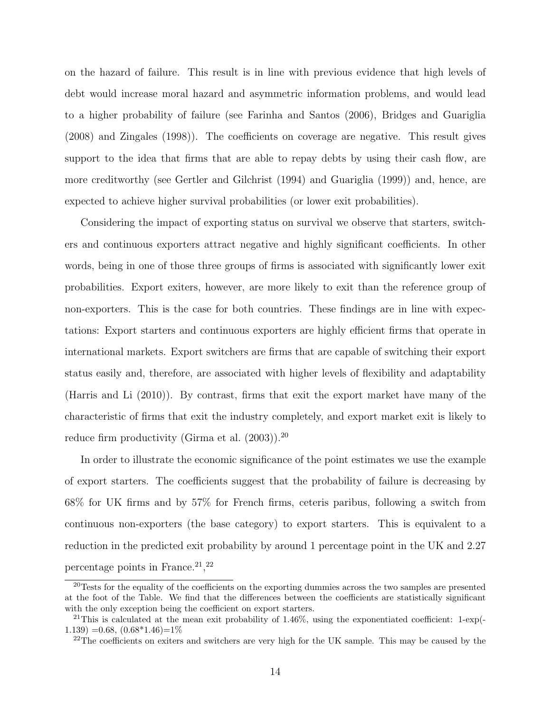on the hazard of failure. This result is in line with previous evidence that high levels of debt would increase moral hazard and asymmetric information problems, and would lead to a higher probability of failure (see Farinha and Santos (2006), Bridges and Guariglia (2008) and Zingales (1998)). The coefficients on coverage are negative. This result gives support to the idea that firms that are able to repay debts by using their cash flow, are more creditworthy (see Gertler and Gilchrist (1994) and Guariglia (1999)) and, hence, are expected to achieve higher survival probabilities (or lower exit probabilities).

Considering the impact of exporting status on survival we observe that starters, switchers and continuous exporters attract negative and highly significant coefficients. In other words, being in one of those three groups of firms is associated with significantly lower exit probabilities. Export exiters, however, are more likely to exit than the reference group of non-exporters. This is the case for both countries. These findings are in line with expectations: Export starters and continuous exporters are highly efficient firms that operate in international markets. Export switchers are firms that are capable of switching their export status easily and, therefore, are associated with higher levels of flexibility and adaptability (Harris and Li (2010)). By contrast, firms that exit the export market have many of the characteristic of firms that exit the industry completely, and export market exit is likely to reduce firm productivity (Girma et al.  $(2003)$ ).<sup>20</sup>

In order to illustrate the economic significance of the point estimates we use the example of export starters. The coefficients suggest that the probability of failure is decreasing by 68% for UK firms and by 57% for French firms, ceteris paribus, following a switch from continuous non-exporters (the base category) to export starters. This is equivalent to a reduction in the predicted exit probability by around 1 percentage point in the UK and 2.27 percentage points in France.<sup>21</sup>,<sup>22</sup>

<sup>&</sup>lt;sup>20</sup>Tests for the equality of the coefficients on the exporting dummies across the two samples are presented at the foot of the Table. We find that the differences between the coefficients are statistically significant with the only exception being the coefficient on export starters.

<sup>&</sup>lt;sup>21</sup>This is calculated at the mean exit probability of  $1.46\%$ , using the exponentiated coefficient: 1-exp(- $(1.139) = 0.68$ ,  $(0.68*1.46) = 1\%$ 

<sup>&</sup>lt;sup>22</sup>The coefficients on exiters and switchers are very high for the UK sample. This may be caused by the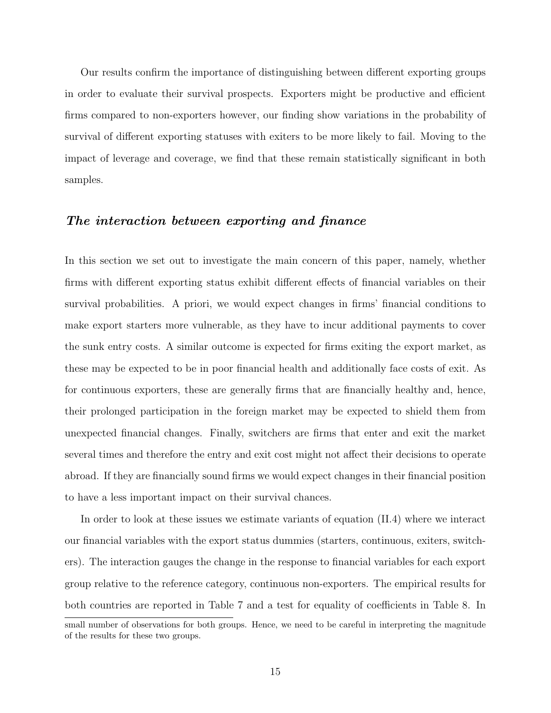Our results confirm the importance of distinguishing between different exporting groups in order to evaluate their survival prospects. Exporters might be productive and efficient firms compared to non-exporters however, our finding show variations in the probability of survival of different exporting statuses with exiters to be more likely to fail. Moving to the impact of leverage and coverage, we find that these remain statistically significant in both samples.

## The interaction between exporting and finance

In this section we set out to investigate the main concern of this paper, namely, whether firms with different exporting status exhibit different effects of financial variables on their survival probabilities. A priori, we would expect changes in firms' financial conditions to make export starters more vulnerable, as they have to incur additional payments to cover the sunk entry costs. A similar outcome is expected for firms exiting the export market, as these may be expected to be in poor financial health and additionally face costs of exit. As for continuous exporters, these are generally firms that are financially healthy and, hence, their prolonged participation in the foreign market may be expected to shield them from unexpected financial changes. Finally, switchers are firms that enter and exit the market several times and therefore the entry and exit cost might not affect their decisions to operate abroad. If they are financially sound firms we would expect changes in their financial position to have a less important impact on their survival chances.

In order to look at these issues we estimate variants of equation (II.4) where we interact our financial variables with the export status dummies (starters, continuous, exiters, switchers). The interaction gauges the change in the response to financial variables for each export group relative to the reference category, continuous non-exporters. The empirical results for both countries are reported in Table 7 and a test for equality of coefficients in Table 8. In

small number of observations for both groups. Hence, we need to be careful in interpreting the magnitude of the results for these two groups.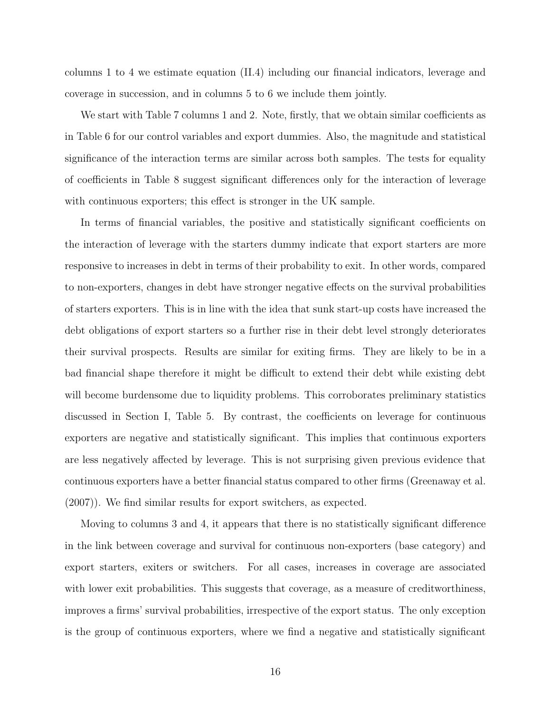columns 1 to 4 we estimate equation (II.4) including our financial indicators, leverage and coverage in succession, and in columns 5 to 6 we include them jointly.

We start with Table 7 columns 1 and 2. Note, firstly, that we obtain similar coefficients as in Table 6 for our control variables and export dummies. Also, the magnitude and statistical significance of the interaction terms are similar across both samples. The tests for equality of coefficients in Table 8 suggest significant differences only for the interaction of leverage with continuous exporters; this effect is stronger in the UK sample.

In terms of financial variables, the positive and statistically significant coefficients on the interaction of leverage with the starters dummy indicate that export starters are more responsive to increases in debt in terms of their probability to exit. In other words, compared to non-exporters, changes in debt have stronger negative effects on the survival probabilities of starters exporters. This is in line with the idea that sunk start-up costs have increased the debt obligations of export starters so a further rise in their debt level strongly deteriorates their survival prospects. Results are similar for exiting firms. They are likely to be in a bad financial shape therefore it might be difficult to extend their debt while existing debt will become burdensome due to liquidity problems. This corroborates preliminary statistics discussed in Section I, Table 5. By contrast, the coefficients on leverage for continuous exporters are negative and statistically significant. This implies that continuous exporters are less negatively affected by leverage. This is not surprising given previous evidence that continuous exporters have a better financial status compared to other firms (Greenaway et al. (2007)). We find similar results for export switchers, as expected.

Moving to columns 3 and 4, it appears that there is no statistically significant difference in the link between coverage and survival for continuous non-exporters (base category) and export starters, exiters or switchers. For all cases, increases in coverage are associated with lower exit probabilities. This suggests that coverage, as a measure of creditworthiness, improves a firms' survival probabilities, irrespective of the export status. The only exception is the group of continuous exporters, where we find a negative and statistically significant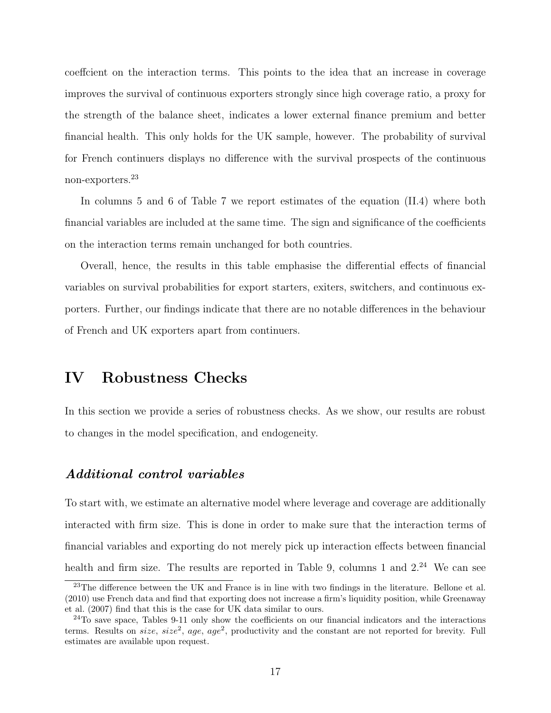coeffcient on the interaction terms. This points to the idea that an increase in coverage improves the survival of continuous exporters strongly since high coverage ratio, a proxy for the strength of the balance sheet, indicates a lower external finance premium and better financial health. This only holds for the UK sample, however. The probability of survival for French continuers displays no difference with the survival prospects of the continuous non-exporters.<sup>23</sup>

In columns 5 and 6 of Table 7 we report estimates of the equation (II.4) where both financial variables are included at the same time. The sign and significance of the coefficients on the interaction terms remain unchanged for both countries.

Overall, hence, the results in this table emphasise the differential effects of financial variables on survival probabilities for export starters, exiters, switchers, and continuous exporters. Further, our findings indicate that there are no notable differences in the behaviour of French and UK exporters apart from continuers.

# IV Robustness Checks

In this section we provide a series of robustness checks. As we show, our results are robust to changes in the model specification, and endogeneity.

## Additional control variables

To start with, we estimate an alternative model where leverage and coverage are additionally interacted with firm size. This is done in order to make sure that the interaction terms of financial variables and exporting do not merely pick up interaction effects between financial health and firm size. The results are reported in Table 9, columns 1 and  $2^{24}$  We can see

<sup>23</sup>The difference between the UK and France is in line with two findings in the literature. Bellone et al. (2010) use French data and find that exporting does not increase a firm's liquidity position, while Greenaway et al. (2007) find that this is the case for UK data similar to ours.

 $24$ To save space, Tables 9-11 only show the coefficients on our financial indicators and the interactions terms. Results on *size*, *size*<sup>2</sup>, *age*, *age*<sup>2</sup>, productivity and the constant are not reported for brevity. Full estimates are available upon request.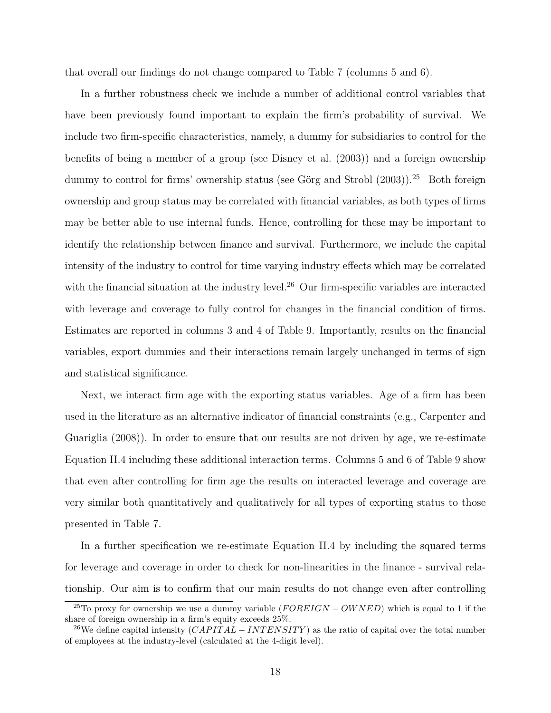that overall our findings do not change compared to Table 7 (columns 5 and 6).

In a further robustness check we include a number of additional control variables that have been previously found important to explain the firm's probability of survival. We include two firm-specific characteristics, namely, a dummy for subsidiaries to control for the benefits of being a member of a group (see Disney et al. (2003)) and a foreign ownership dummy to control for firms' ownership status (see Görg and Strobl  $(2003)$ ).<sup>25</sup> Both foreign ownership and group status may be correlated with financial variables, as both types of firms may be better able to use internal funds. Hence, controlling for these may be important to identify the relationship between finance and survival. Furthermore, we include the capital intensity of the industry to control for time varying industry effects which may be correlated with the financial situation at the industry level.<sup>26</sup> Our firm-specific variables are interacted with leverage and coverage to fully control for changes in the financial condition of firms. Estimates are reported in columns 3 and 4 of Table 9. Importantly, results on the financial variables, export dummies and their interactions remain largely unchanged in terms of sign and statistical significance.

Next, we interact firm age with the exporting status variables. Age of a firm has been used in the literature as an alternative indicator of financial constraints (e.g., Carpenter and Guariglia (2008)). In order to ensure that our results are not driven by age, we re-estimate Equation II.4 including these additional interaction terms. Columns 5 and 6 of Table 9 show that even after controlling for firm age the results on interacted leverage and coverage are very similar both quantitatively and qualitatively for all types of exporting status to those presented in Table 7.

In a further specification we re-estimate Equation II.4 by including the squared terms for leverage and coverage in order to check for non-linearities in the finance - survival relationship. Our aim is to confirm that our main results do not change even after controlling

<sup>&</sup>lt;sup>25</sup>To proxy for ownership we use a dummy variable  $(FOREIGN - OWNED)$  which is equal to 1 if the share of foreign ownership in a firm's equity exceeds 25%.

<sup>&</sup>lt;sup>26</sup>We define capital intensity  $(CAPITAL - INTERSTITY)$  as the ratio of capital over the total number of employees at the industry-level (calculated at the 4-digit level).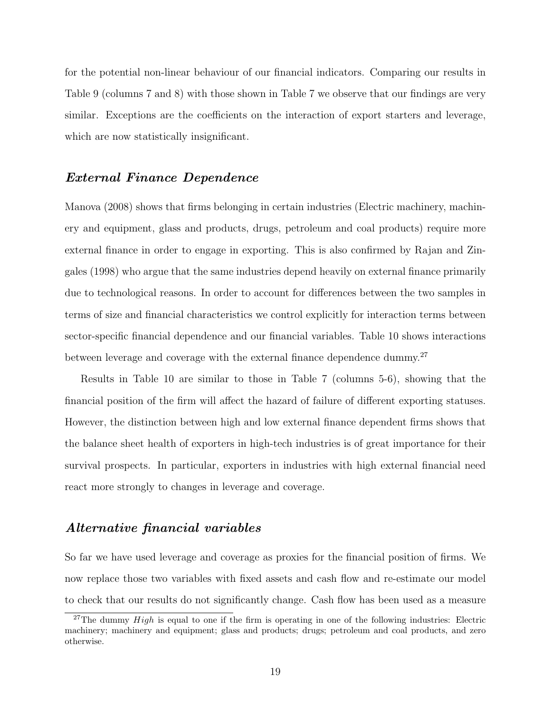for the potential non-linear behaviour of our financial indicators. Comparing our results in Table 9 (columns 7 and 8) with those shown in Table 7 we observe that our findings are very similar. Exceptions are the coefficients on the interaction of export starters and leverage, which are now statistically insignificant.

## External Finance Dependence

Manova (2008) shows that firms belonging in certain industries (Electric machinery, machinery and equipment, glass and products, drugs, petroleum and coal products) require more external finance in order to engage in exporting. This is also confirmed by Rajan and Zingales (1998) who argue that the same industries depend heavily on external finance primarily due to technological reasons. In order to account for differences between the two samples in terms of size and financial characteristics we control explicitly for interaction terms between sector-specific financial dependence and our financial variables. Table 10 shows interactions between leverage and coverage with the external finance dependence dummy.<sup>27</sup>

Results in Table 10 are similar to those in Table 7 (columns 5-6), showing that the financial position of the firm will affect the hazard of failure of different exporting statuses. However, the distinction between high and low external finance dependent firms shows that the balance sheet health of exporters in high-tech industries is of great importance for their survival prospects. In particular, exporters in industries with high external financial need react more strongly to changes in leverage and coverage.

## Alternative financial variables

So far we have used leverage and coverage as proxies for the financial position of firms. We now replace those two variables with fixed assets and cash flow and re-estimate our model to check that our results do not significantly change. Cash flow has been used as a measure

<sup>&</sup>lt;sup>27</sup>The dummy  $High$  is equal to one if the firm is operating in one of the following industries: Electric machinery; machinery and equipment; glass and products; drugs; petroleum and coal products, and zero otherwise.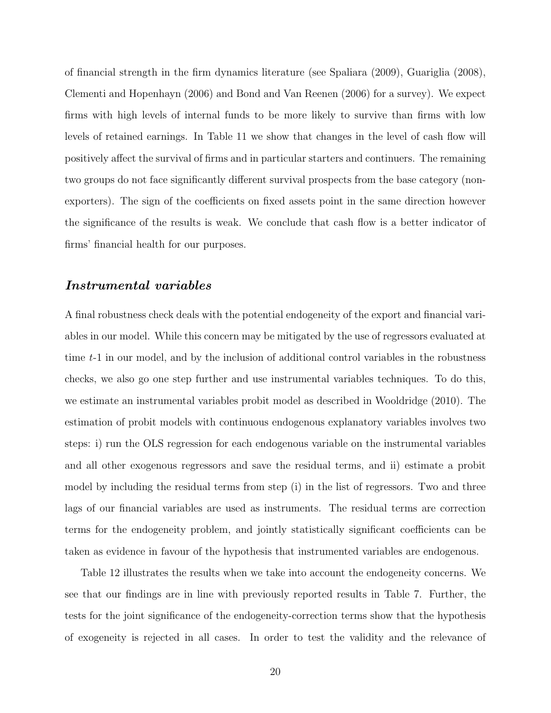of financial strength in the firm dynamics literature (see Spaliara (2009), Guariglia (2008), Clementi and Hopenhayn (2006) and Bond and Van Reenen (2006) for a survey). We expect firms with high levels of internal funds to be more likely to survive than firms with low levels of retained earnings. In Table 11 we show that changes in the level of cash flow will positively affect the survival of firms and in particular starters and continuers. The remaining two groups do not face significantly different survival prospects from the base category (nonexporters). The sign of the coefficients on fixed assets point in the same direction however the significance of the results is weak. We conclude that cash flow is a better indicator of firms' financial health for our purposes.

#### Instrumental variables

A final robustness check deals with the potential endogeneity of the export and financial variables in our model. While this concern may be mitigated by the use of regressors evaluated at time t-1 in our model, and by the inclusion of additional control variables in the robustness checks, we also go one step further and use instrumental variables techniques. To do this, we estimate an instrumental variables probit model as described in Wooldridge (2010). The estimation of probit models with continuous endogenous explanatory variables involves two steps: i) run the OLS regression for each endogenous variable on the instrumental variables and all other exogenous regressors and save the residual terms, and ii) estimate a probit model by including the residual terms from step (i) in the list of regressors. Two and three lags of our financial variables are used as instruments. The residual terms are correction terms for the endogeneity problem, and jointly statistically significant coefficients can be taken as evidence in favour of the hypothesis that instrumented variables are endogenous.

Table 12 illustrates the results when we take into account the endogeneity concerns. We see that our findings are in line with previously reported results in Table 7. Further, the tests for the joint significance of the endogeneity-correction terms show that the hypothesis of exogeneity is rejected in all cases. In order to test the validity and the relevance of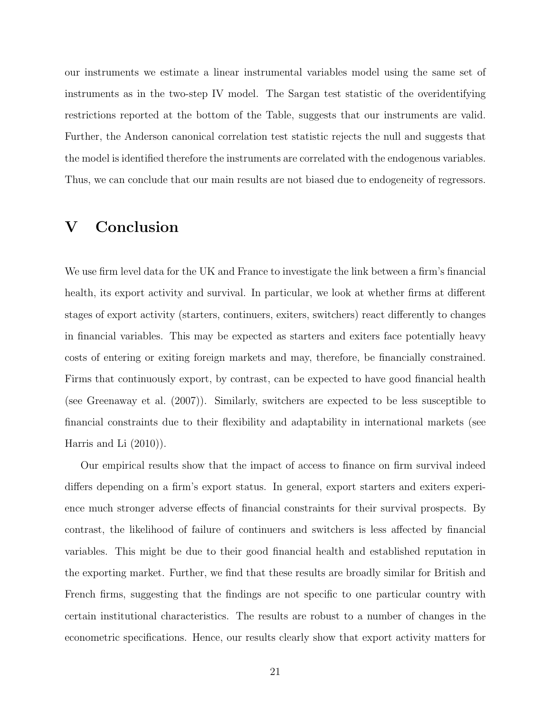our instruments we estimate a linear instrumental variables model using the same set of instruments as in the two-step IV model. The Sargan test statistic of the overidentifying restrictions reported at the bottom of the Table, suggests that our instruments are valid. Further, the Anderson canonical correlation test statistic rejects the null and suggests that the model is identified therefore the instruments are correlated with the endogenous variables. Thus, we can conclude that our main results are not biased due to endogeneity of regressors.

# V Conclusion

We use firm level data for the UK and France to investigate the link between a firm's financial health, its export activity and survival. In particular, we look at whether firms at different stages of export activity (starters, continuers, exiters, switchers) react differently to changes in financial variables. This may be expected as starters and exiters face potentially heavy costs of entering or exiting foreign markets and may, therefore, be financially constrained. Firms that continuously export, by contrast, can be expected to have good financial health (see Greenaway et al. (2007)). Similarly, switchers are expected to be less susceptible to financial constraints due to their flexibility and adaptability in international markets (see Harris and Li (2010)).

Our empirical results show that the impact of access to finance on firm survival indeed differs depending on a firm's export status. In general, export starters and exiters experience much stronger adverse effects of financial constraints for their survival prospects. By contrast, the likelihood of failure of continuers and switchers is less affected by financial variables. This might be due to their good financial health and established reputation in the exporting market. Further, we find that these results are broadly similar for British and French firms, suggesting that the findings are not specific to one particular country with certain institutional characteristics. The results are robust to a number of changes in the econometric specifications. Hence, our results clearly show that export activity matters for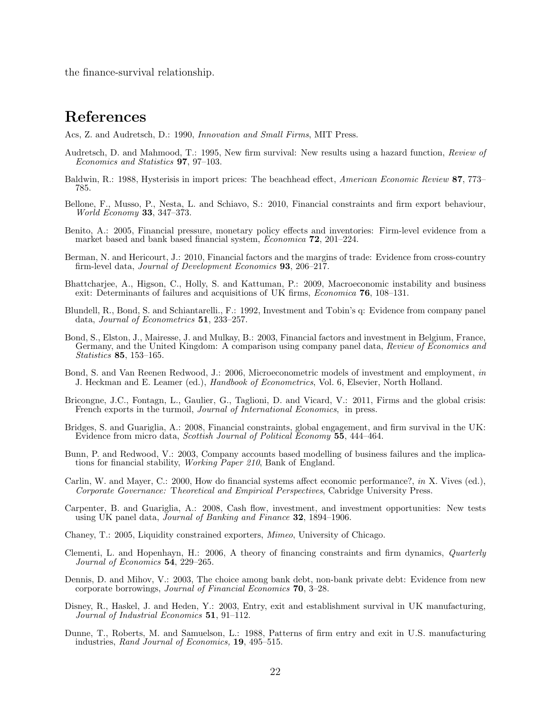the finance-survival relationship.

# References

Acs, Z. and Audretsch, D.: 1990, Innovation and Small Firms, MIT Press.

- Audretsch, D. and Mahmood, T.: 1995, New firm survival: New results using a hazard function, Review of Economics and Statistics 97, 97–103.
- Baldwin, R.: 1988, Hysterisis in import prices: The beachhead effect, American Economic Review 87, 773– 785.
- Bellone, F., Musso, P., Nesta, L. and Schiavo, S.: 2010, Financial constraints and firm export behaviour, World Economy 33, 347–373.
- Benito, A.: 2005, Financial pressure, monetary policy effects and inventories: Firm-level evidence from a market based and bank based financial system, Economica 72, 201–224.
- Berman, N. and Hericourt, J.: 2010, Financial factors and the margins of trade: Evidence from cross-country firm-level data, Journal of Development Economics 93, 206–217.
- Bhattcharjee, A., Higson, C., Holly, S. and Kattuman, P.: 2009, Macroeconomic instability and business exit: Determinants of failures and acquisitions of UK firms, Economica 76, 108–131.
- Blundell, R., Bond, S. and Schiantarelli., F.: 1992, Investment and Tobin's q: Evidence from company panel data, Journal of Econometrics 51, 233–257.
- Bond, S., Elston, J., Mairesse, J. and Mulkay, B.: 2003, Financial factors and investment in Belgium, France, Germany, and the United Kingdom: A comparison using company panel data, Review of Economics and Statistics 85, 153–165.
- Bond, S. and Van Reenen Redwood, J.: 2006, Microeconometric models of investment and employment, in J. Heckman and E. Leamer (ed.), Handbook of Econometrics, Vol. 6, Elsevier, North Holland.
- Bricongne, J.C., Fontagn, L., Gaulier, G., Taglioni, D. and Vicard, V.: 2011, Firms and the global crisis: French exports in the turmoil, Journal of International Economics, in press.
- Bridges, S. and Guariglia, A.: 2008, Financial constraints, global engagement, and firm survival in the UK: Evidence from micro data, Scottish Journal of Political Economy 55, 444–464.
- Bunn, P. and Redwood, V.: 2003, Company accounts based modelling of business failures and the implications for financial stability, Working Paper 210, Bank of England.
- Carlin, W. and Mayer, C.: 2000, How do financial systems affect economic performance?, in X. Vives (ed.), Corporate Governance: Theoretical and Empirical Perspectives, Cabridge University Press.
- Carpenter, B. and Guariglia, A.: 2008, Cash flow, investment, and investment opportunities: New tests using UK panel data, Journal of Banking and Finance 32, 1894–1906.
- Chaney, T.: 2005, Liquidity constrained exporters, Mimeo, University of Chicago.
- Clementi, L. and Hopenhayn, H.: 2006, A theory of financing constraints and firm dynamics, Quarterly Journal of Economics 54, 229–265.
- Dennis, D. and Mihov, V.: 2003, The choice among bank debt, non-bank private debt: Evidence from new corporate borrowings, Journal of Financial Economics 70, 3–28.
- Disney, R., Haskel, J. and Heden, Y.: 2003, Entry, exit and establishment survival in UK manufacturing, Journal of Industrial Economics 51, 91–112.
- Dunne, T., Roberts, M. and Samuelson, L.: 1988, Patterns of firm entry and exit in U.S. manufacturing industries, Rand Journal of Economics, 19, 495–515.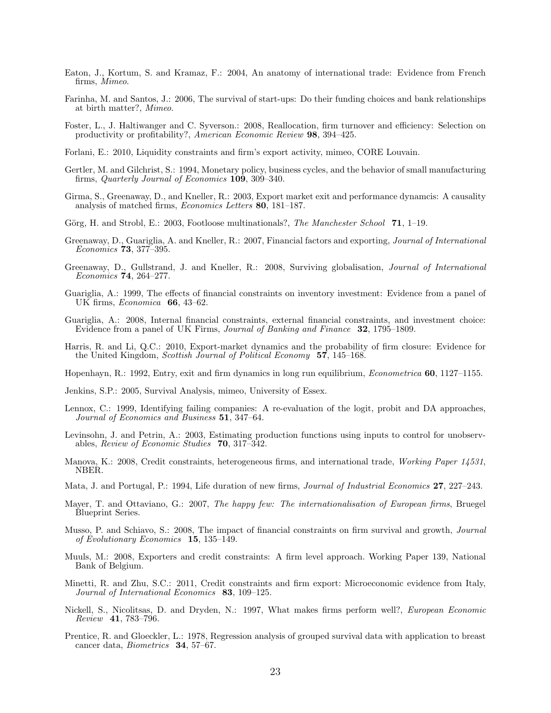- Eaton, J., Kortum, S. and Kramaz, F.: 2004, An anatomy of international trade: Evidence from French firms, Mimeo.
- Farinha, M. and Santos, J.: 2006, The survival of start-ups: Do their funding choices and bank relationships at birth matter?, Mimeo.
- Foster, L., J. Haltiwanger and C. Syverson.: 2008, Reallocation, firm turnover and efficiency: Selection on productivity or profitability?, American Economic Review 98, 394–425.
- Forlani, E.: 2010, Liquidity constraints and firm's export activity, mimeo, CORE Louvain.
- Gertler, M. and Gilchrist, S.: 1994, Monetary policy, business cycles, and the behavior of small manufacturing firms, *Quarterly Journal of Economics* 109, 309-340.
- Girma, S., Greenaway, D., and Kneller, R.: 2003, Export market exit and performance dynamcis: A causality analysis of matched firms, Economics Letters 80, 181–187.
- Görg, H. and Strobl, E.: 2003, Footloose multinationals?, The Manchester School 71, 1–19.
- Greenaway, D., Guariglia, A. and Kneller, R.: 2007, Financial factors and exporting, Journal of International Economics 73, 377–395.
- Greenaway, D., Gullstrand, J. and Kneller, R.: 2008, Surviving globalisation, Journal of International Economics 74, 264–277.
- Guariglia, A.: 1999, The effects of financial constraints on inventory investment: Evidence from a panel of UK firms, Economica 66, 43–62.
- Guariglia, A.: 2008, Internal financial constraints, external financial constraints, and investment choice: Evidence from a panel of UK Firms, Journal of Banking and Finance 32, 1795–1809.
- Harris, R. and Li, Q.C.: 2010, Export-market dynamics and the probability of firm closure: Evidence for the United Kingdom, Scottish Journal of Political Economy 57, 145–168.
- Hopenhayn, R.: 1992, Entry, exit and firm dynamics in long run equilibrium, Econometrica 60, 1127–1155.
- Jenkins, S.P.: 2005, Survival Analysis, mimeo, University of Essex.
- Lennox, C.: 1999, Identifying failing companies: A re-evaluation of the logit, probit and DA approaches, Journal of Economics and Business 51, 347–64.
- Levinsohn, J. and Petrin, A.: 2003, Estimating production functions using inputs to control for unobservables, Review of Economic Studies 70, 317–342.
- Manova, K.: 2008, Credit constraints, heterogeneous firms, and international trade, Working Paper 14531, NBER.
- Mata, J. and Portugal, P.: 1994, Life duration of new firms, *Journal of Industrial Economics* 27, 227–243.
- Mayer, T. and Ottaviano, G.: 2007, The happy few: The internationalisation of European firms, Bruegel Blueprint Series.
- Musso, P. and Schiavo, S.: 2008, The impact of financial constraints on firm survival and growth, Journal of Evolutionary Economics 15, 135–149.
- Muuls, M.: 2008, Exporters and credit constraints: A firm level approach. Working Paper 139, National Bank of Belgium.
- Minetti, R. and Zhu, S.C.: 2011, Credit constraints and firm export: Microeconomic evidence from Italy, Journal of International Economics 83, 109–125.
- Nickell, S., Nicolitsas, D. and Dryden, N.: 1997, What makes firms perform well?, European Economic Review 41, 783–796.
- Prentice, R. and Gloeckler, L.: 1978, Regression analysis of grouped survival data with application to breast cancer data, Biometrics 34, 57–67.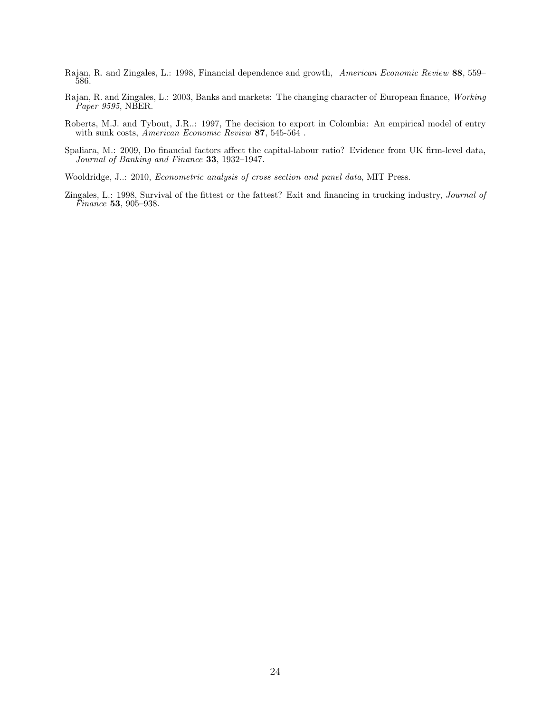- Rajan, R. and Zingales, L.: 1998, Financial dependence and growth, American Economic Review 88, 559– 586.
- Rajan, R. and Zingales, L.: 2003, Banks and markets: The changing character of European finance, Working Paper 9595, NBER.
- Roberts, M.J. and Tybout, J.R..: 1997, The decision to export in Colombia: An empirical model of entry with sunk costs, American Economic Review 87, 545-564.
- Spaliara, M.: 2009, Do financial factors affect the capital-labour ratio? Evidence from UK firm-level data, Journal of Banking and Finance 33, 1932–1947.
- Wooldridge, J..: 2010, Econometric analysis of cross section and panel data, MIT Press.
- Zingales, L.: 1998, Survival of the fittest or the fattest? Exit and financing in trucking industry, Journal of Finance 53, 905–938.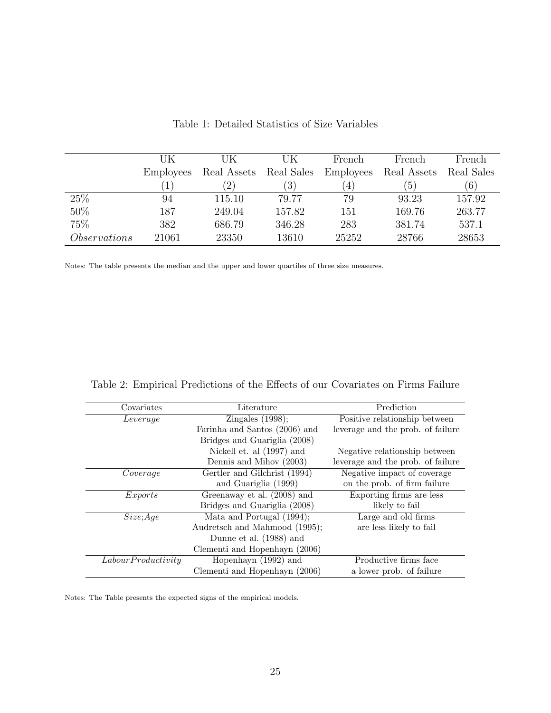|                     | UK               | UK                | UK               | French           | French        | French     |
|---------------------|------------------|-------------------|------------------|------------------|---------------|------------|
|                     | <b>Employees</b> | Real Assets       | Real Sales       | <b>Employees</b> | Real Assets   | Real Sales |
|                     |                  | $\left( 2\right)$ | $\left(3\right)$ | $\overline{4}$   | $\mathcal{D}$ | (6)        |
| 25\%                | 94               | 115.10            | 79.77            | 79               | 93.23         | 157.92     |
| 50%                 | 187              | 249.04            | 157.82           | 151              | 169.76        | 263.77     |
| 75%                 | 382              | 686.79            | 346.28           | 283              | 381.74        | 537.1      |
| <i>Observations</i> | 21061            | 23350             | 13610            | 25252            | 28766         | 28653      |

Table 1: Detailed Statistics of Size Variables

Notes: The table presents the median and the upper and lower quartiles of three size measures.

| Covariates         | Literature                    | Prediction                        |
|--------------------|-------------------------------|-----------------------------------|
| Leverage           | Zingales $(1998)$ ;           | Positive relationship between     |
|                    | Farinha and Santos (2006) and | leverage and the prob. of failure |
|                    | Bridges and Guariglia (2008)  |                                   |
|                    | Nickell et. al (1997) and     | Negative relationship between     |
|                    | Dennis and Mihov (2003)       | leverage and the prob. of failure |
| Coverage           | Gertler and Gilchrist (1994)  | Negative impact of coverage       |
|                    | and Guariglia (1999)          | on the prob. of firm failure      |
| Exports            | Greenaway et al. (2008) and   | Exporting firms are less          |
|                    | Bridges and Guariglia (2008)  | likely to fail                    |
| Size; Age          | Mata and Portugal (1994);     | Large and old firms               |
|                    | Audretsch and Mahmood (1995); | are less likely to fail           |
|                    | Dunne et al. (1988) and       |                                   |
|                    | Clementi and Hopenhayn (2006) |                                   |
| LabourProductivity | Hopenhayn (1992) and          | Productive firms face             |
|                    | Clementi and Hopenhayn (2006) | a lower prob. of failure          |

Notes: The Table presents the expected signs of the empirical models.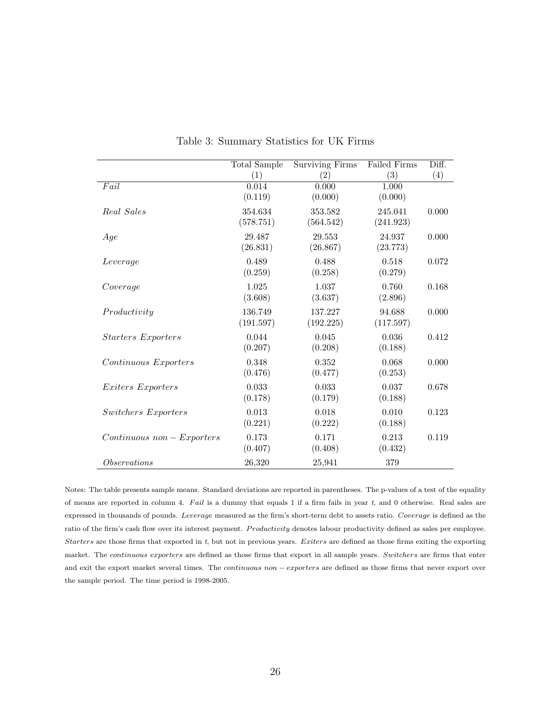|                             | Total Sample     | <b>Surviving Firms</b> | Failed Firms     | Diff. |
|-----------------------------|------------------|------------------------|------------------|-------|
|                             | (1)              | (2)                    | (3)              | (4)   |
| Fail                        | 0.014            | 0.000                  | 1.000            |       |
|                             | (0.119)          | (0.000)                | (0.000)          |       |
| Real Sales                  | 354.634          | 353.582                | 245.041          | 0.000 |
|                             | (578.751)        | (564.542)              | (241.923)        |       |
| Age                         | 29.487           | 29.553                 | 24.937           | 0.000 |
|                             | (26.831)         | (26.867)               | (23.773)         |       |
| Leverage                    | 0.489            | 0.488                  | 0.518            | 0.072 |
|                             | (0.259)          | (0.258)                | (0.279)          |       |
| Coverage                    | 1.025            | 1.037                  | 0.760            | 0.168 |
|                             | (3.608)          | (3.637)                | (2.896)          |       |
| Productivity                | 136.749          | 137.227                | 94.688           | 0.000 |
|                             | (191.597)        | (192.225)              | (117.597)        |       |
| <b>Starters</b> Exporters   | 0.044            | 0.045                  | 0.036            | 0.412 |
|                             | (0.207)          | (0.208)                | (0.188)          |       |
| Continuous Exporters        | 0.348            | 0.352                  | 0.068            | 0.000 |
|                             | (0.476)          | (0.477)                | (0.253)          |       |
|                             |                  |                        |                  |       |
| <i>Exiters Exporters</i>    | 0.033<br>(0.178) | 0.033<br>(0.179)       | 0.037<br>(0.188) | 0.678 |
|                             |                  |                        |                  |       |
| Switchers Exporters         | 0.013            | 0.018                  | 0.010            | 0.123 |
|                             | (0.221)          | (0.222)                | (0.188)          |       |
| $Continuous\ non-Exporters$ | 0.173            | 0.171                  | 0.213            | 0.119 |
|                             | (0.407)          | (0.408)                | (0.432)          |       |
| <i>Observations</i>         | 26,320           | 25,941                 | 379              |       |

Table 3: Summary Statistics for UK Firms

Notes: The table presents sample means. Standard deviations are reported in parentheses. The p-values of a test of the equality of means are reported in column 4. Fail is a dummy that equals 1 if a firm fails in year t, and 0 otherwise. Real sales are expressed in thousands of pounds. Leverage measured as the firm's short-term debt to assets ratio. Coverage is defined as the ratio of the firm's cash flow over its interest payment. Productivity denotes labour productivity defined as sales per employee. Starters are those firms that exported in  $t$ , but not in previous years. Exiters are defined as those firms exiting the exporting market. The continuous exporters are defined as those firms that export in all sample years. Switchers are firms that enter and exit the export market several times. The *continuous non – exporters* are defined as those firms that never export over the sample period. The time period is 1998-2005.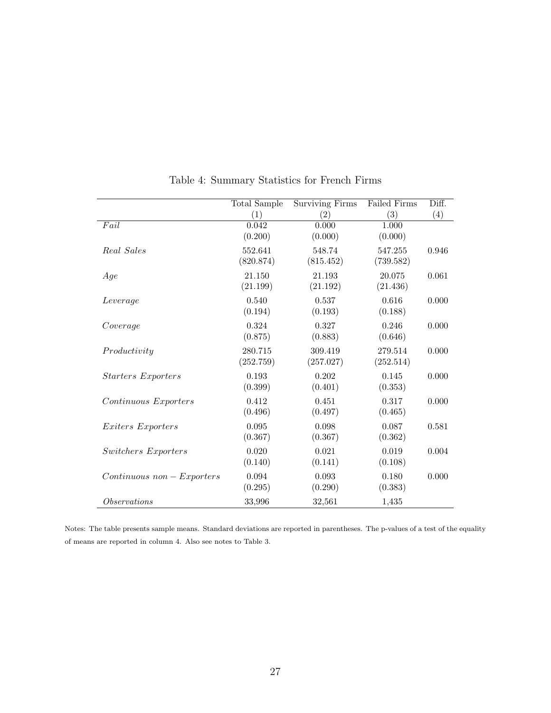|                             | <b>Total Sample</b> | <b>Surviving Firms</b> | Failed Firms | Diff. |
|-----------------------------|---------------------|------------------------|--------------|-------|
|                             | (1)                 | (2)                    | (3)          | (4)   |
| Fail                        | 0.042               | 0.000                  | 1.000        |       |
|                             | (0.200)             | (0.000)                | (0.000)      |       |
| Real Sales                  | 552.641             | 548.74                 | 547.255      | 0.946 |
|                             | (820.874)           | (815.452)              | (739.582)    |       |
| Age                         | 21.150              | 21.193                 | 20.075       | 0.061 |
|                             | (21.199)            | (21.192)               | (21.436)     |       |
| Leverage                    | 0.540               | 0.537                  | 0.616        | 0.000 |
|                             | (0.194)             | (0.193)                | (0.188)      |       |
| Coverage                    | 0.324               | 0.327                  | 0.246        | 0.000 |
|                             | (0.875)             | (0.883)                | (0.646)      |       |
| Productivity                | 280.715             | 309.419                | 279.514      | 0.000 |
|                             | (252.759)           | (257.027)              | (252.514)    |       |
| <i>Starters Exporters</i>   | 0.193               | 0.202                  | 0.145        | 0.000 |
|                             | (0.399)             | (0.401)                | (0.353)      |       |
| Continuous Exporters        | 0.412               | 0.451                  | 0.317        | 0.000 |
|                             | (0.496)             | (0.497)                | (0.465)      |       |
| <i>Exiters Exporters</i>    | 0.095               | 0.098                  | 0.087        | 0.581 |
|                             | (0.367)             | (0.367)                | (0.362)      |       |
| Switchers Exporters         | 0.020               | 0.021                  | 0.019        | 0.004 |
|                             | (0.140)             | (0.141)                | (0.108)      |       |
| $Continuous\ non-Exporters$ | 0.094               | 0.093                  | 0.180        | 0.000 |
|                             | (0.295)             | (0.290)                | (0.383)      |       |
| <i>Observations</i>         | 33,996              | 32,561                 | 1,435        |       |

Table 4: Summary Statistics for French Firms

Notes: The table presents sample means. Standard deviations are reported in parentheses. The p-values of a test of the equality of means are reported in column 4. Also see notes to Table 3.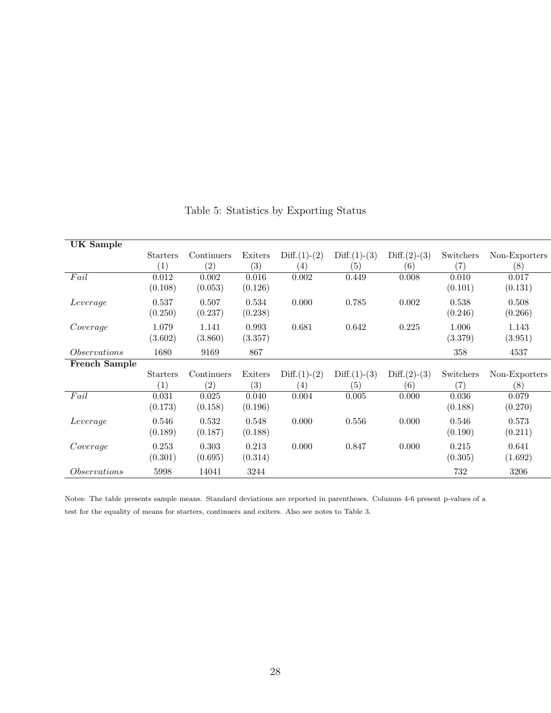| UK Sample            |                   |            |         |                   |                |                   |           |               |
|----------------------|-------------------|------------|---------|-------------------|----------------|-------------------|-----------|---------------|
|                      | <b>Starters</b>   | Continuers | Exiters | $Diff.(1)-(2)$    | $Diff.(1)-(3)$ | $Diff.(2)-(3)$    | Switchers | Non-Exporters |
|                      | $\left( 1\right)$ | (2)        | (3)     | (4)               | (5)            | $\left( 6\right)$ | (7)       | (8)           |
| Fail                 | 0.012             | 0.002      | 0.016   | 0.002             | 0.449          | 0.008             | 0.010     | 0.017         |
|                      | (0.108)           | (0.053)    | (0.126) |                   |                |                   | (0.101)   | (0.131)       |
| Leverage             | 0.537             | 0.507      | 0.534   | 0.000             | 0.785          | 0.002             | 0.538     | 0.508         |
|                      | (0.250)           | (0.237)    | (0.238) |                   |                |                   | (0.246)   | (0.266)       |
| Coverage             | 1.079             | 1.141      | 0.993   | 0.681             | 0.642          | 0.225             | 1.006     | 1.143         |
|                      | (3.602)           | (3.860)    | (3.357) |                   |                |                   | (3.379)   | (3.951)       |
| <i>Observations</i>  | 1680              | 9169       | 867     |                   |                |                   | 358       | 4537          |
| <b>French Sample</b> |                   |            |         |                   |                |                   |           |               |
|                      | <b>Starters</b>   | Continuers | Exiters | $Diff.(1)-(2)$    | $Diff.(1)-(3)$ | $Diff.(2)-(3)$    | Switchers | Non-Exporters |
|                      | $\left( 1\right)$ | (2)        | (3)     | $\left( 4\right)$ | (5)            | $\left( 6\right)$ | (7)       | (8)           |
| Fail                 | 0.031             | 0.025      | 0.040   | 0.004             | 0.005          | 0.000             | 0.036     | 0.079         |
|                      | (0.173)           | (0.158)    | (0.196) |                   |                |                   | (0.188)   | (0.270)       |
| Leverage             | 0.546             | 0.532      | 0.548   | 0.000             | 0.556          | 0.000             | 0.546     | 0.573         |
|                      | (0.189)           | (0.187)    | (0.188) |                   |                |                   | (0.190)   | (0.211)       |
| Coverage             | 0.253             | 0.303      | 0.213   | 0.000             | 0.847          | 0.000             | 0.215     | 0.641         |
|                      | (0.301)           | (0.695)    | (0.314) |                   |                |                   | (0.305)   | (1.692)       |
| <i>Observations</i>  | 5998              | 14041      | 3244    |                   |                |                   | 732       | 3206          |

## Table 5: Statistics by Exporting Status

Notes: The table presents sample means. Standard deviations are reported in parentheses. Columns 4-6 present p-values of a test for the equality of means for starters, continuers and exiters. Also see notes to Table 3.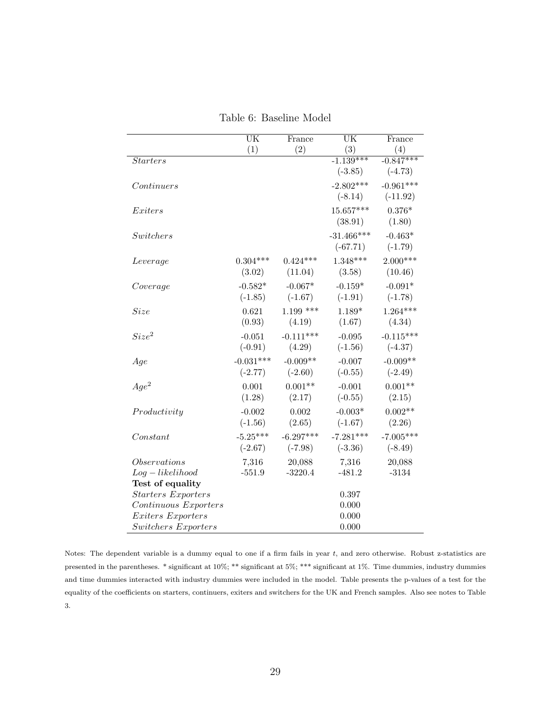|                                      | $\overline{\text{UK}}$ | France      | $\overline{\text{UK}}$ | France      |
|--------------------------------------|------------------------|-------------|------------------------|-------------|
|                                      | (1)                    | (2)         | (3)                    | (4)         |
| <i>Starters</i>                      |                        |             | $-1.139***$            | $-0.847***$ |
|                                      |                        |             | $(-3.85)$              | $(-4.73)$   |
| Continuous                           |                        |             | $-2.802***$            | $-0.961***$ |
|                                      |                        |             | $(-8.14)$              | $(-11.92)$  |
| Exiters                              |                        |             | $15.657***$            | $0.376*$    |
|                                      |                        |             | (38.91)                | (1.80)      |
| Switchers                            |                        |             | $-31.466***$           | $-0.463*$   |
|                                      |                        |             | $(-67.71)$             | $(-1.79)$   |
| Leverage                             | $0.304***$             | $0.424***$  | $1.348***$             | $2.000***$  |
|                                      | (3.02)                 | (11.04)     | (3.58)                 | (10.46)     |
|                                      |                        |             |                        |             |
| Coverage                             | $-0.582*$              | $-0.067*$   | $-0.159*$              | $-0.091*$   |
|                                      | $(-1.85)$              | $(-1.67)$   | $(-1.91)$              | $(-1.78)$   |
| Size                                 | 0.621                  | $1.199$ *** | $1.189*$               | $1.264***$  |
|                                      | (0.93)                 | (4.19)      | (1.67)                 | (4.34)      |
| Size <sup>2</sup>                    | $-0.051$               | $-0.111***$ | $-0.095$               | $-0.115***$ |
|                                      | $(-0.91)$              | (4.29)      | $(-1.56)$              | $(-4.37)$   |
| Age                                  | $-0.031***$            | $-0.009**$  | $-0.007$               | $-0.009**$  |
|                                      | $(-2.77)$              | $(-2.60)$   | $(-0.55)$              | $(-2.49)$   |
| $Age^2$                              | 0.001                  | $0.001**$   | $-0.001$               | $0.001**$   |
|                                      | (1.28)                 | (2.17)      | $(-0.55)$              | (2.15)      |
| Productivity                         | $-0.002$               | 0.002       | $-0.003*$              | $0.002**$   |
|                                      | $(-1.56)$              | (2.65)      | $(-1.67)$              | (2.26)      |
| Constant                             | $-5.25***$             | $-6.297***$ | $-7.281***$            | $-7.005***$ |
|                                      | $(-2.67)$              | $(-7.98)$   | $(-3.36)$              | $(-8.49)$   |
|                                      |                        |             |                        |             |
| Observations                         | 7,316                  | 20,088      | 7,316                  | 20,088      |
| $Log-likelihood$<br>Test of equality | $-551.9$               | $-3220.4$   | $-481.2$               | $-3134$     |
| <b>Starters Exporters</b>            |                        |             | 0.397                  |             |
| Continuous Exporters                 |                        |             | 0.000                  |             |
| Exiters Exporters                    |                        |             | 0.000                  |             |
| Switchers Exporters                  |                        |             | 0.000                  |             |

Table 6: Baseline Model

Notes: The dependent variable is a dummy equal to one if a firm fails in year  $t$ , and zero otherwise. Robust z-statistics are presented in the parentheses. \* significant at 10%; \*\* significant at 5%; \*\*\* significant at 1%. Time dummies, industry dummies and time dummies interacted with industry dummies were included in the model. Table presents the p-values of a test for the equality of the coefficients on starters, continuers, exiters and switchers for the UK and French samples. Also see notes to Table 3.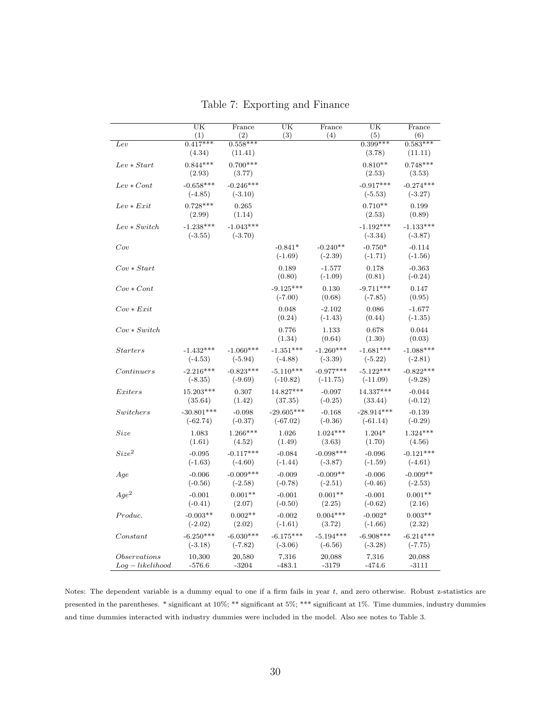|                                 | $\overline{\text{UK}}$   | France                   | UK                       | France                  | $\overline{\text{UK}}$   | France                   |
|---------------------------------|--------------------------|--------------------------|--------------------------|-------------------------|--------------------------|--------------------------|
|                                 | (1)                      | (2)                      | (3)                      | (4)                     | (5)                      | (6)                      |
| $_{Lev}$                        | $0.417***$<br>(4.34)     | $0.558***$<br>(11.41)    |                          |                         | $0.399***$<br>(3.78)     | $0.583***$<br>(11.11)    |
| $Lev * Start$                   | $0.844***$<br>(2.93)     | $0.700***$<br>(3.77)     |                          |                         | $0.810**$<br>(2.53)      | $0.748***$<br>(3.53)     |
| $Lev * Cont$                    | $-0.658***$<br>$(-4.85)$ | $-0.246***$<br>$(-3.10)$ |                          |                         | $-0.917***$<br>$(-5.53)$ | $-0.274***$<br>$(-3.27)$ |
| $Lev * Exit$                    | $0.728***$<br>(2.99)     | 0.265<br>(1.14)          |                          |                         | $0.710**$<br>(2.53)      | 0.199<br>(0.89)          |
| $Lev * Switch$                  | $-1.238***$<br>$(-3.55)$ | $-1.043***$<br>$(-3.70)$ |                          |                         | $-1.192***$<br>$(-3.34)$ | $-1.133***$<br>$(-3.87)$ |
| Cov                             |                          |                          | $-0.841*$<br>$(-1.69)$   | $-0.240**$<br>$(-2.39)$ | $-0.750*$<br>$(-1.71)$   | $-0.114$<br>$(-1.56)$    |
| $Cov * Start$                   |                          |                          | 0.189<br>(0.80)          | $-1.577$<br>$(-1.09)$   | 0.178<br>(0.81)          | $-0.363$<br>$(-0.24)$    |
| $Cov\ast Cont$                  |                          |                          | $-9.125***$<br>$(-7.00)$ | 0.130<br>(0.68)         | $-9.711***$<br>$(-7.85)$ | 0.147<br>(0.95)          |
| $Cov * Ext$                     |                          |                          | 0.048<br>(0.24)          | $-2.102$<br>$(-1.43)$   | 0.086<br>(0.44)          | $-1.677$<br>$(-1.35)$    |
| $Cov * Switch$                  |                          |                          | 0.776<br>(1.34)          | 1.133<br>(0.64)         | 0.678<br>(1.30)          | 0.044<br>(0.03)          |
| $\:$                            | $-1.432***$              | $-1.060***$              | $-1.351***$              | $-1.260***$             | $-1.681***$              | $-1.088***$              |
|                                 | $(-4.53)$                | $(-5.94)$                | $(-4.88)$                | $(-3.39)$               | $(-5.22)$                | $(-2.81)$                |
| Continuous                      | $-2.216***$              | $-0.823***$              | $-5.110***$              | $-0.977***$             | $-5.122***$              | $-0.822***$              |
|                                 | $(-8.35)$                | $(-9.69)$                | $(-10.82)$               | $(-11.75)$              | $(-11.09)$               | $(-9.28)$                |
| Exiters                         | 15.203***                | 0.307                    | 14.827***                | $-0.097$                | 14.337***                | $-0.044$                 |
|                                 | (35.64)                  | (1.42)                   | (37.35)                  | $(-0.25)$               | (33.44)                  | $(-0.12)$                |
| Switchers                       | $-30.801***$             | $-0.098$                 | $-29.605***$             | $-0.168$                | $-28.914***$             | $-0.139$                 |
|                                 | $(-62.74)$               | $(-0.37)$                | $(-67.02)$               | $(-0.36)$               | $(-61.14)$               | $(-0.29)$                |
| Size                            | 1.083                    | $1.266***$               | 1.026                    | $1.024***$              | $1.204*$                 | $1.324***$               |
|                                 | (1.61)                   | (4.52)                   | (1.49)                   | (3.63)                  | (1.70)                   | (4.56)                   |
| $Size^2$                        | $-0.095$                 | $-0.117***$              | $-0.084$                 | $-0.098***$             | $-0.096$                 | $-0.121***$              |
|                                 | $(-1.63)$                | $(-4.60)$                | $(-1.44)$                | $(-3.87)$               | $(-1.59)$                | $(-4.61)$                |
| Age                             | $-0.006$                 | $-0.009***$              | $-0.009$                 | $-0.009**$              | $-0.006$                 | $-0.009**$               |
|                                 | $(-0.56)$                | $(-2.58)$                | $(-0.78)$                | $(-2.51)$               | $(-0.46)$                | $(-2.53)$                |
| $Age^2$                         | $-0.001$                 | $0.001**$                | $-0.001$                 | $0.001**$               | $-0.001$                 | $0.001**$                |
|                                 | $(-0.41)$                | (2.07)                   | $(-0.50)$                | (2.25)                  | $(-0.62)$                | (2.16)                   |
| Produc.                         | $-0.003**$               | $0.002**$                | $-0.002$                 | $0.004***$              | $-0.002*$                | $0.003**$                |
|                                 | $(-2.02)$                | (2.02)                   | $(-1.61)$                | (3.72)                  | $(-1.66)$                | (2.32)                   |
| Constant                        | $-6.250***$              | $-6.030***$              | $-6.175***$              | $-5.194***$             | $-6.908***$              | $-6.214***$              |
|                                 | $(-3.18)$                | $(-7.82)$                | $(-3.06)$                | $(-6.56)$               | $(-3.28)$                | $(-7.75)$                |
| Observations                    | 10,300                   | 20,580                   | 7,316                    | 20,088                  | 7,316                    | 20,088                   |
| $\label{eq:log} Log-likelihood$ | $-576.6$                 | $-3204$                  | $-483.1$                 | $-3179$                 | $-474.6$                 | $-3111$                  |

Table 7: Exporting and Finance

Notes: The dependent variable is a dummy equal to one if a firm fails in year  $t$ , and zero otherwise. Robust z-statistics are presented in the parentheses. \* significant at 10%; \*\* significant at 5%; \*\*\* significant at 1%. Time dummies, industry dummies and time dummies interacted with industry dummies were included in the model. Also see notes to Table 3.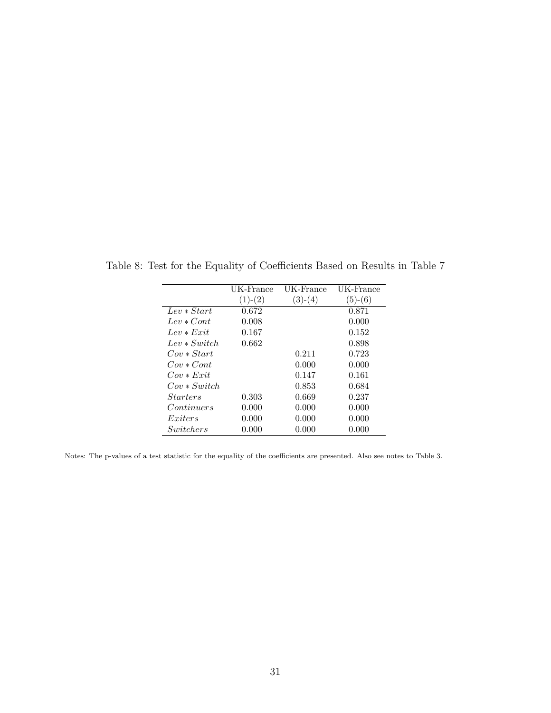|                   | UK-France | UK-France | UK-France |
|-------------------|-----------|-----------|-----------|
|                   | $(1)-(2)$ | $(3)-(4)$ | $(5)-(6)$ |
| $Len * Start$     | 0.672     |           | 0.871     |
| $Lev * Cont$      | 0.008     |           | 0.000     |
| $Lev * Erit$      | 0.167     |           | 0.152     |
| $Lev * Switch$    | 0.662     |           | 0.898     |
| $Con*Start$       |           | 0.211     | 0.723     |
| $Con * Cont$      |           | 0.000     | 0.000     |
| $Cov * Erit$      |           | 0.147     | 0.161     |
| $Cov * Switch$    |           | 0.853     | 0.684     |
| <i>Starters</i>   | 0.303     | 0.669     | 0.237     |
| <i>Continuers</i> | 0.000     | 0.000     | 0.000     |
| Exiters           | 0.000     | 0.000     | 0.000     |
| Switchers         | 0.000     | 0.000     | 0.000     |

Table 8: Test for the Equality of Coefficients Based on Results in Table 7

Notes: The p-values of a test statistic for the equality of the coefficients are presented. Also see notes to Table 3.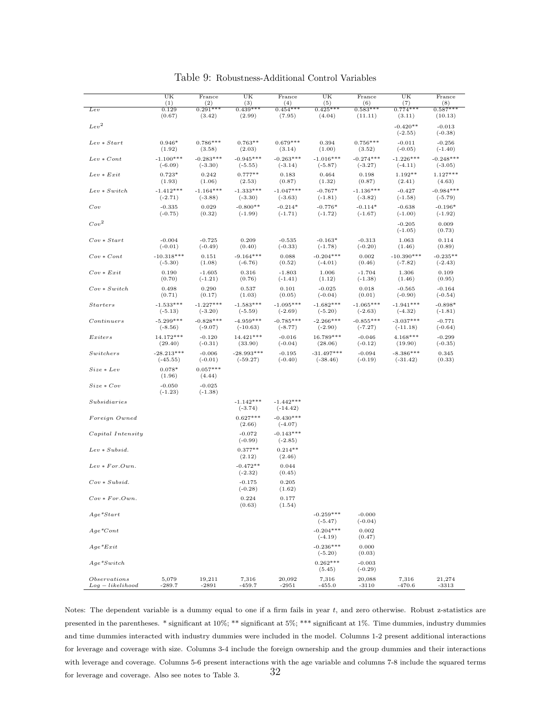|                                         | UK<br>(1)                  | France<br>(2)            | UK<br>(3)                  | France<br>(4)             | UK<br>(5)                  | France<br>(6)            | UK<br>(7)                         | France<br>(8)                      |
|-----------------------------------------|----------------------------|--------------------------|----------------------------|---------------------------|----------------------------|--------------------------|-----------------------------------|------------------------------------|
| $_{Lev}$                                | 0.129                      | $0.291***$               | $0.439***$                 | $0.454***$                | $0.425***$                 | $0.583***$               | $0.774***$                        | $0.587***$                         |
| Lev <sup>2</sup>                        | (0.67)                     | (3.42)                   | (2.99)                     | (7.95)                    | (4.04)                     | (11.11)                  | (3.11)<br>$-0.420**$<br>$(-2.55)$ | (10.13)<br>$-0.013$                |
| $Lev * Start$                           | $0.946*$<br>(1.92)         | $0.786***$<br>(3.58)     | $0.763**$<br>(2.03)        | $0.679***$<br>(3.14)      | 0.394<br>(1.00)            | $0.756***$<br>(3.52)     | $-0.011$<br>$(-0.05)$             | $(-0.38)$<br>$-0.256$<br>$(-1.40)$ |
| $Lev * Cont$                            | $-1.100***$<br>$(-6.09)$   | $-0.283***$<br>$(-3.30)$ | $-0.945***$<br>$(-5.55)$   | $-0.263***$<br>$(-3.14)$  | $-1.016***$<br>$(-5.87)$   | $-0.274***$<br>$(-3.27)$ | $-1.226***$<br>$(-4.11)$          | $-0.248***$<br>$(-3.05)$           |
| $Lev * Exit$                            | $0.723*$<br>(1.93)         | 0.242<br>(1.06)          | $0.777**$<br>(2.53)        | 0.183<br>(0.87)           | 0.464<br>(1.32)            | 0.198<br>(0.87)          | $1.192**$<br>(2.41)               | $1.127***$<br>(4.63)               |
| $Lev * Switch$                          | $-1.412***$<br>$(-2.71)$   | $-1.164***$<br>$(-3.88)$ | $-1.333***$<br>$(-3.30)$   | $-1.047***$<br>$(-3.63)$  | $-0.767*$<br>$(-1.81)$     | $-1.136***$<br>$(-3.82)$ | $-0.427$<br>$(-1.58)$             | $-0.984***$<br>$(-5.79)$           |
| Cov                                     | $-0.335$<br>$(-0.75)$      | 0.029<br>(0.32)          | $-0.800**$<br>$(-1.99)$    | $-0.214*$<br>$(-1.71)$    | $-0.776*$<br>$(-1.72)$     | $-0.114*$<br>$(-1.67)$   | $-0.638$<br>$(-1.00)$             | $-0.196*$<br>$(-1.92)$             |
| Cov <sup>2</sup>                        |                            |                          |                            |                           |                            |                          | $-0.205$<br>$(-1.05)$             | 0.009<br>(0.73)                    |
| $Cov * Start$                           | $-0.004$<br>$(-0.01)$      | $-0.725$<br>$(-0.49)$    | 0.209<br>(0.40)            | $-0.535$<br>$(-0.33)$     | $-0.163*$<br>$(-1.78)$     | $-0.313$<br>$(-0.20)$    | 1.063<br>(1.46)                   | 0.114<br>(0.89)                    |
| $Cov * Cont$                            | $-10.318***$<br>$(-5.30)$  | 0.151<br>(1.08)          | $-9.164***$<br>$(-6.76)$   | 0.088<br>(0.52)           | $-0.204***$<br>$(-4.01)$   | 0.002<br>(0.46)          | $-10.390***$<br>$(-7.82)$         | $-0.235**$<br>$(-2.43)$            |
| $Cov * Exit$                            | 0.190<br>(0.70)            | $-1.605$<br>$(-1.21)$    | 0.316<br>(0.76)            | $-1.803$<br>$(-1.41)$     | 1.006<br>(1.12)            | $-1.704$<br>$(-1.38)$    | 1.306<br>(1.46)                   | 0.109<br>(0.95)                    |
| $Cov * Switch$                          | 0.498<br>(0.71)            | 0.290<br>(0.17)          | 0.537<br>(1.03)            | 0.101<br>(0.05)           | $-0.025$<br>$(-0.04)$      | 0.018<br>(0.01)          | $-0.565$<br>$(-0.90)$             | $-0.164$<br>$(-0.54)$              |
| <i>Starters</i>                         | $-1.533***$<br>$(-5.13)$   | $-1.227***$<br>$(-3.20)$ | $-1.583***$<br>$(-5.59)$   | $-1.095***$<br>$(-2.69)$  | $-1.682***$<br>$(-5.20)$   | $-1.065***$<br>$(-2.63)$ | $-1.941***$<br>$(-4.32)$          | $-0.898*$<br>$(-1.81)$             |
| Continuous                              | $-5.299***$<br>$(-8.56)$   | $-0.828***$<br>$(-9.07)$ | $-4.959***$<br>$(-10.63)$  | $-0.785***$<br>$(-8.77)$  | $-2.266***$<br>$(-2.90)$   | $-0.855***$<br>$(-7.27)$ | $-3.037***$<br>$(-11.18)$         | $-0.771$<br>$(-0.64)$              |
| Exiters                                 | 14.172***<br>(29.40)       | $-0.120$<br>$(-0.31)$    | 14.421***<br>(33.90)       | $-0.016$<br>$(-0.04)$     | 16.789***<br>(28.06)       | $-0.046$<br>$(-0.12)$    | $4.168***$<br>(19.90)             | $-0.299$<br>$(-0.35)$              |
| Switchers                               | $-28.213***$<br>$(-45.55)$ | $-0.006$<br>$(-0.01)$    | $-28.993***$<br>$(-59.27)$ | $-0.195$<br>$(-0.40)$     | $-31.497***$<br>$(-38.46)$ | $-0.094$<br>$(-0.19)$    | $-8.386***$<br>$(-31.42)$         | 0.345<br>(0.33)                    |
| $Size * Lev$                            | $0.078*$<br>(1.96)         | $0.057***$<br>(4.44)     |                            |                           |                            |                          |                                   |                                    |
| $Size*Cov$                              | $-0.050$<br>$(-1.23)$      | $-0.025$<br>$(-1.38)$    |                            |                           |                            |                          |                                   |                                    |
| Subsidiaries                            |                            |                          | $-1.142***$<br>$(-3.74)$   | $-1.442***$<br>$(-14.42)$ |                            |                          |                                   |                                    |
| Foreign Owned                           |                            |                          | $0.627***$<br>(2.66)       | $-0.430***$<br>$(-4.07)$  |                            |                          |                                   |                                    |
| Capital Intensity                       |                            |                          | $-0.072$<br>$(-0.99)$      | $-0.143***$<br>$(-2.85)$  |                            |                          |                                   |                                    |
| $Lev * Subsid.$                         |                            |                          | $0.377**$<br>(2.12)        | $0.214**$<br>(2.46)       |                            |                          |                                   |                                    |
| $Lev * For. Own.$                       |                            |                          | $-0.472**$<br>$(-2.32)$    | 0.044<br>(0.45)           |                            |                          |                                   |                                    |
| $Cov * Subsid.$                         |                            |                          | $-0.175$<br>$(-0.28)$      | 0.205<br>(1.62)           |                            |                          |                                   |                                    |
| $Cov * For. Own.$                       |                            |                          | 0.224<br>(0.63)            | 0.177<br>(1.54)           |                            |                          |                                   |                                    |
| $Aqe*Start$                             |                            |                          |                            |                           | $-0.259***$<br>$(-5.47)$   | $-0.000$<br>$(-0.04)$    |                                   |                                    |
| $Age*Cont$                              |                            |                          |                            |                           | $-0.204***$<br>$(-4.19)$   | 0.002<br>(0.47)          |                                   |                                    |
| $Age*Exit$                              |                            |                          |                            |                           | $-0.236***$<br>$(-5.20)$   | 0.000<br>(0.03)          |                                   |                                    |
| $Age*Switch$                            |                            |                          |                            |                           | $0.262***$<br>(5.45)       | $-0.003$<br>$(-0.29)$    |                                   |                                    |
| <i>Observations</i><br>$Log-likelihood$ | 5,079<br>$-289.7$          | 19,211<br>$-2891$        | 7,316<br>$-459.7$          | 20,092<br>$-2951$         | 7,316<br>$-455.0$          | 20,088<br>$-3110$        | 7,316<br>$-470.6$                 | 21,274<br>$-3313$                  |

### Table 9: Robustness-Additional Control Variables

Notes: The dependent variable is a dummy equal to one if a firm fails in year t, and zero otherwise. Robust z-statistics are presented in the parentheses. \* significant at 10%; \*\* significant at 5%; \*\*\* significant at 1%. Time dummies, industry dummies and time dummies interacted with industry dummies were included in the model. Columns 1-2 present additional interactions for leverage and coverage with size. Columns 3-4 include the foreign ownership and the group dummies and their interactions with leverage and coverage. Columns 5-6 present interactions with the age variable and columns 7-8 include the squared terms for leverage and coverage. Also see notes to Table 3.  $32$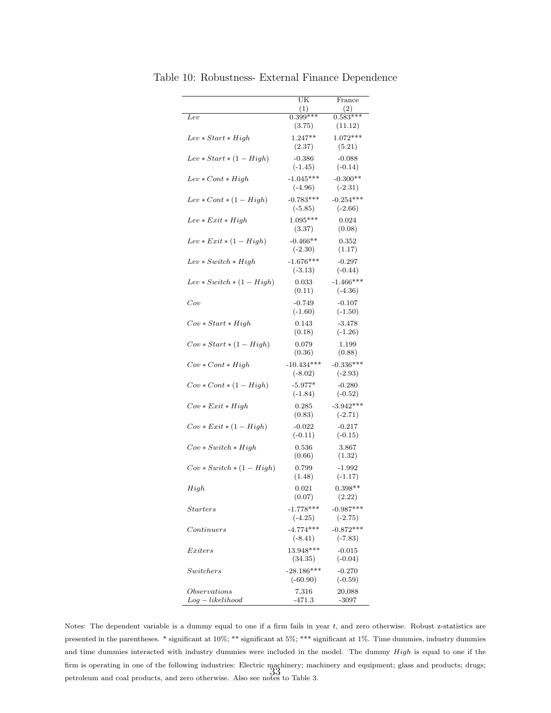|                             | UK<br>(1)                | France<br>(2)            |
|-----------------------------|--------------------------|--------------------------|
| $_{Lev}$                    | $0.399***$               | $0.583***$               |
|                             | (3.75)                   | (11.12)                  |
| $Lev * Start * High$        | $1.247**$                | $1.072***$               |
|                             | (2.37)                   | (5.21)                   |
| $Lev * Start * (1 - High)$  | $-0.386$                 | $-0.088$                 |
|                             | $(-1.45)$                | $(-0.14)$                |
| $Lev * Cont * High$         | $-1.045***$              | $-0.300**$               |
|                             | $(-4.96)$                | $(-2.31)$                |
| $Lev * Cont * (1 - High)$   | $-0.783***$              | $-0.254***$              |
|                             | $(-5.85)$                | $(-2.66)$                |
| $Lev * Exit * High$         | $1.095***$               | 0.024                    |
|                             | (3.37)                   | (0.08)                   |
|                             |                          |                          |
| $Lev * Ext * (1 - High)$    | $-0.466**$               | 0.352<br>(1.17)          |
|                             | $(-2.30)$                |                          |
| $Lev * Switch * High$       | $-1.676***$              | $-0.297$                 |
|                             | $(-3.13)$                | $(-0.44)$                |
| $Lev * Switch * (1 - High)$ | 0.033                    | $-1.466***$              |
|                             | (0.11)                   | $(-4.36)$                |
| $_{Cov}$                    | $-0.749$                 | $-0.107$                 |
|                             | $(-1.60)$                | $(-1.50)$                |
| $Cov * Start * High$        | 0.143                    | $-3.478$                 |
|                             | (0.18)                   | $(-1.26)$                |
| $Cov * Start * (1 - High)$  | 0.079                    | 1.199                    |
|                             | (0.36)                   | (0.88)                   |
| $Cov * Cont * High$         | $-10.434***$             | $-0.336***$              |
|                             | $(-8.02)$                | $(-2.93)$                |
| $Cov * Cont * (1 - High)$   | $-5.977*$                | $-0.280$                 |
|                             | $(-1.84)$                | $(-0.52)$                |
| $Cov * Ext * High$          | 0.285                    | $-3.942***$              |
|                             | (0.83)                   | $(-2.71)$                |
| $Cov * Ext * (1 - High)$    | $-0.022$                 | $-0.217$                 |
|                             | $(-0.11)$                | $(-0.15)$                |
| $Cov * Switch * High$       | 0.536                    | 3.867                    |
|                             | (0.66)                   | (1.32)                   |
| $Cov * Switch * (1 - High)$ | 0.799                    | $-1.992$                 |
|                             | (1.48)                   | $(-1.17)$                |
|                             |                          | $0.398**$                |
| High                        | 0.021<br>(0.07)          | (2.22)                   |
|                             |                          |                          |
| <b>Starters</b>             | $-1.778***$<br>$(-4.25)$ | $-0.987***$<br>$(-2.75)$ |
|                             |                          |                          |
| Continuous                  | $-4.774***$<br>$(-8.41)$ | $-0.872***$              |
|                             |                          | $(-7.83)$                |
| Exters                      | 13.948***                | $-0.015$                 |
|                             | (34.35)                  | $(-0.04)$                |
| Switchers                   | $-28.186***$             | $-0.270$                 |
|                             | $(-60.90)$               | $(-0.59)$                |
| Observations                | 7,316                    | 20,088                   |
| $Log-likelihood$            | -471.3                   | $-3097$                  |

Table 10: Robustness- External Finance Dependence

Notes: The dependent variable is a dummy equal to one if a firm fails in year t, and zero otherwise. Robust z-statistics are presented in the parentheses. \* significant at 10%; \*\* significant at 5%; \*\*\* significant at 1%. Time dummies, industry dummies and time dummies interacted with industry dummies were included in the model. The dummy  $High$  is equal to one if the firm is operating in one of the following industries: Electric machinery; machinery and equipment; glass and products; drugs; petroleum and coal products, and zero otherwise. Also see notes to Table 3.<br>
petroleum and coal products, and zero otherwise. Also see notes to Table 3.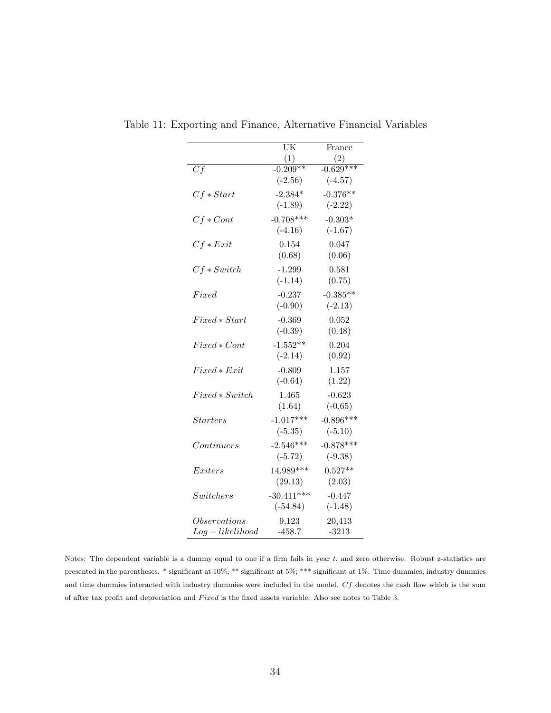|                  | UK           | France      |
|------------------|--------------|-------------|
|                  | (1)          | (2)         |
| Cf               | $-0.209**$   | $-0.629***$ |
|                  | $(-2.56)$    | $(-4.57)$   |
| $Cf * Start$     | $-2.384*$    | $-0.376**$  |
|                  | $(-1.89)$    | $(-2.22)$   |
| $Cf * Cont$      | $-0.708***$  | $-0.303*$   |
|                  | $(-4.16)$    | $(-1.67)$   |
| $Cf * Ext$       | 0.154        | 0.047       |
|                  | (0.68)       | (0.06)      |
| $Cf * Switch$    | $-1.299$     | 0.581       |
|                  | $(-1.14)$    | (0.75)      |
| Fixed            | $-0.237$     | $-0.385**$  |
|                  | $(-0.90)$    | $(-2.13)$   |
| $Fixed*Start$    | $-0.369$     | 0.052       |
|                  | $(-0.39)$    | (0.48)      |
| $Fixed * Cont$   | $-1.552**$   | 0.204       |
|                  | $(-2.14)$    | (0.92)      |
| $Fixed*Exit$     | $-0.809$     | 1.157       |
|                  | $(-0.64)$    | (1.22)      |
| $Fixed * Switch$ | 1.465        | $-0.623$    |
|                  | (1.64)       | $(-0.65)$   |
| $\:$             | $-1.017***$  | $-0.896***$ |
|                  | $(-5.35)$    | $(-5.10)$   |
| Continuous       | $-2.546***$  | $-0.878***$ |
|                  | $(-5.72)$    | $(-9.38)$   |
| Exters           | $14.989***$  | $0.527**$   |
|                  | (29.13)      | (2.03)      |
| Switchers        | $-30.411***$ | $-0.447$    |
|                  | $(-54.84)$   | $(-1.48)$   |
| Observations     | 9,123        | 20,413      |
| $Log-likelihood$ | $-458.7$     | $-3213$     |

Table 11: Exporting and Finance, Alternative Financial Variables

Notes: The dependent variable is a dummy equal to one if a firm fails in year  $t$ , and zero otherwise. Robust z-statistics are presented in the parentheses. \* significant at 10%; \*\* significant at 5%; \*\*\* significant at 1%. Time dummies, industry dummies and time dummies interacted with industry dummies were included in the model. Cf denotes the cash flow which is the sum of after tax profit and depreciation and  $Fixed$  is the fixed assets variable. Also see notes to Table 3.